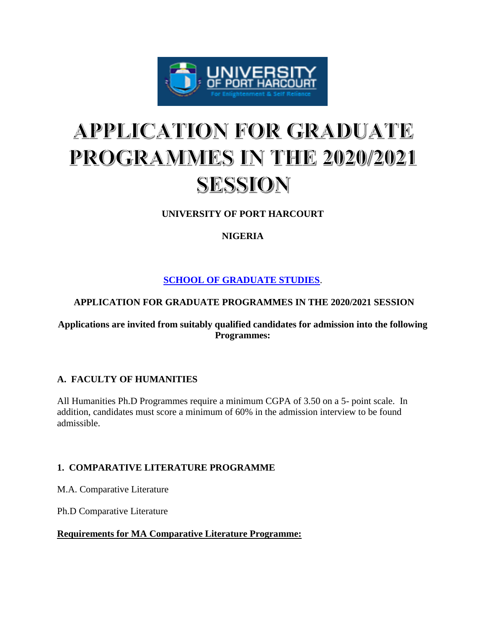

# **APPLICATION FOR GRADUATE** PROGRAMMES IN THE 2020/2021 SESSION

# **UNIVERSITY OF PORT HARCOURT**

# **NIGERIA**

**[SCHOOL OF GRADUATE STUDIES](https://www.dailyschoolnews.com.ng/)**.

# **APPLICATION FOR GRADUATE PROGRAMMES IN THE 2020/2021 SESSION**

## **Applications are invited from suitably qualified candidates for admission into the following Programmes:**

# **A. FACULTY OF HUMANITIES**

All Humanities Ph.D Programmes require a minimum CGPA of 3.50 on a 5- point scale. In addition, candidates must score a minimum of 60% in the admission interview to be found admissible.

# **1. COMPARATIVE LITERATURE PROGRAMME**

M.A. Comparative Literature

Ph.D Comparative Literature

# **Requirements for MA Comparative Literature Programme:**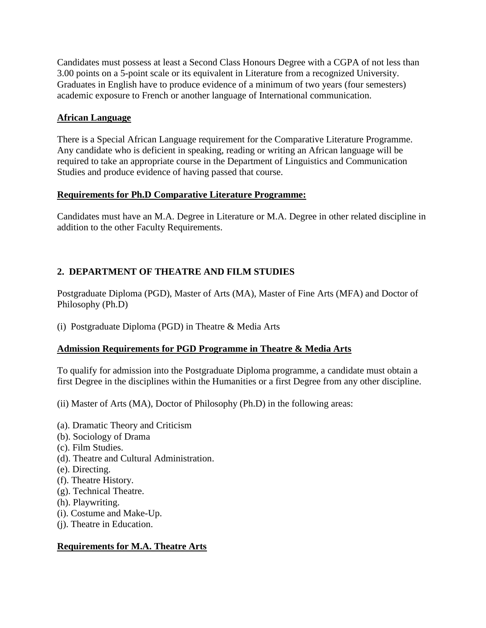Candidates must possess at least a Second Class Honours Degree with a CGPA of not less than 3.00 points on a 5-point scale or its equivalent in Literature from a recognized University. Graduates in English have to produce evidence of a minimum of two years (four semesters) academic exposure to French or another language of International communication.

## **African Language**

There is a Special African Language requirement for the Comparative Literature Programme. Any candidate who is deficient in speaking, reading or writing an African language will be required to take an appropriate course in the Department of Linguistics and Communication Studies and produce evidence of having passed that course.

## **Requirements for Ph.D Comparative Literature Programme:**

Candidates must have an M.A. Degree in Literature or M.A. Degree in other related discipline in addition to the other Faculty Requirements.

# **2. DEPARTMENT OF THEATRE AND FILM STUDIES**

Postgraduate Diploma (PGD), Master of Arts (MA), Master of Fine Arts (MFA) and Doctor of Philosophy (Ph.D)

(i) Postgraduate Diploma (PGD) in Theatre & Media Arts

# **Admission Requirements for PGD Programme in Theatre & Media Arts**

To qualify for admission into the Postgraduate Diploma programme, a candidate must obtain a first Degree in the disciplines within the Humanities or a first Degree from any other discipline.

(ii) Master of Arts (MA), Doctor of Philosophy (Ph.D) in the following areas:

- (a). Dramatic Theory and Criticism
- (b). Sociology of Drama
- (c). Film Studies.
- (d). Theatre and Cultural Administration.
- (e). Directing.
- (f). Theatre History.
- (g). Technical Theatre.
- (h). Playwriting.
- (i). Costume and Make-Up.
- (j). Theatre in Education.

# **Requirements for M.A. Theatre Arts**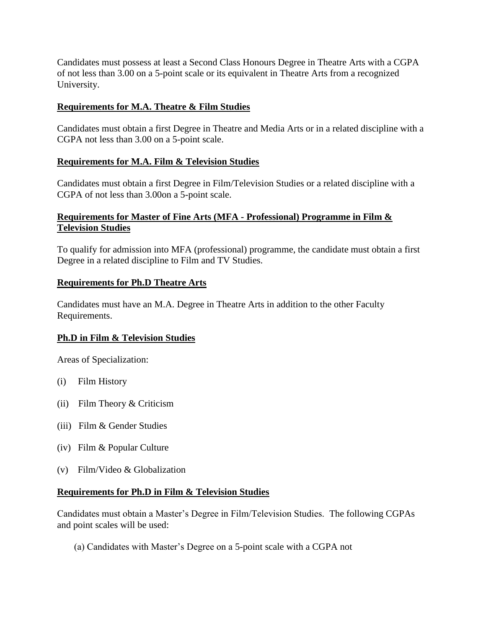Candidates must possess at least a Second Class Honours Degree in Theatre Arts with a CGPA of not less than 3.00 on a 5-point scale or its equivalent in Theatre Arts from a recognized University.

## **Requirements for M.A. Theatre & Film Studies**

Candidates must obtain a first Degree in Theatre and Media Arts or in a related discipline with a CGPA not less than 3.00 on a 5-point scale.

## **Requirements for M.A. Film & Television Studies**

Candidates must obtain a first Degree in Film/Television Studies or a related discipline with a CGPA of not less than 3.00on a 5-point scale.

## **Requirements for Master of Fine Arts (MFA - Professional) Programme in Film & Television Studies**

To qualify for admission into MFA (professional) programme, the candidate must obtain a first Degree in a related discipline to Film and TV Studies.

## **Requirements for Ph.D Theatre Arts**

Candidates must have an M.A. Degree in Theatre Arts in addition to the other Faculty Requirements.

# **Ph.D in Film & Television Studies**

Areas of Specialization:

- (i) Film History
- (ii) Film Theory & Criticism
- (iii) Film & Gender Studies
- (iv) Film & Popular Culture
- (v) Film/Video & Globalization

## **Requirements for Ph.D in Film & Television Studies**

Candidates must obtain a Master's Degree in Film/Television Studies. The following CGPAs and point scales will be used:

(a) Candidates with Master's Degree on a 5-point scale with a CGPA not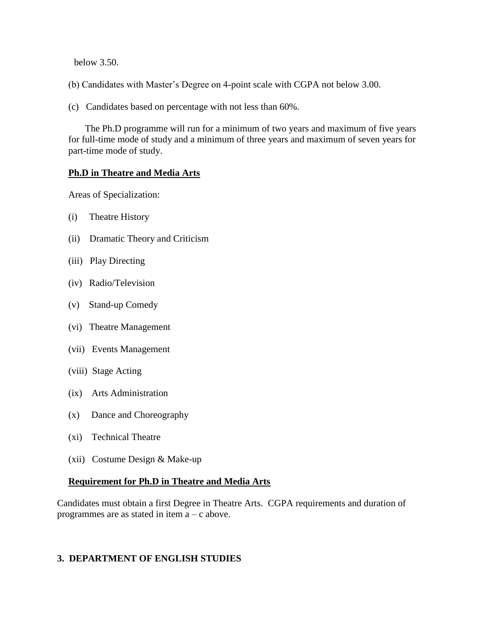below 3.50.

(b) Candidates with Master's Degree on 4-point scale with CGPA not below 3.00.

(c) Candidates based on percentage with not less than 60%.

 The Ph.D programme will run for a minimum of two years and maximum of five years for full-time mode of study and a minimum of three years and maximum of seven years for part-time mode of study.

#### **Ph.D in Theatre and Media Arts**

Areas of Specialization:

- (i) Theatre History
- (ii) Dramatic Theory and Criticism
- (iii) Play Directing
- (iv) Radio/Television
- (v) Stand-up Comedy
- (vi) Theatre Management
- (vii) Events Management
- (viii) Stage Acting
- (ix) Arts Administration
- (x) Dance and Choreography
- (xi) Technical Theatre
- (xii) Costume Design & Make-up

## **Requirement for Ph.D in Theatre and Media Arts**

Candidates must obtain a first Degree in Theatre Arts. CGPA requirements and duration of programmes are as stated in item a – c above.

## **3. DEPARTMENT OF ENGLISH STUDIES**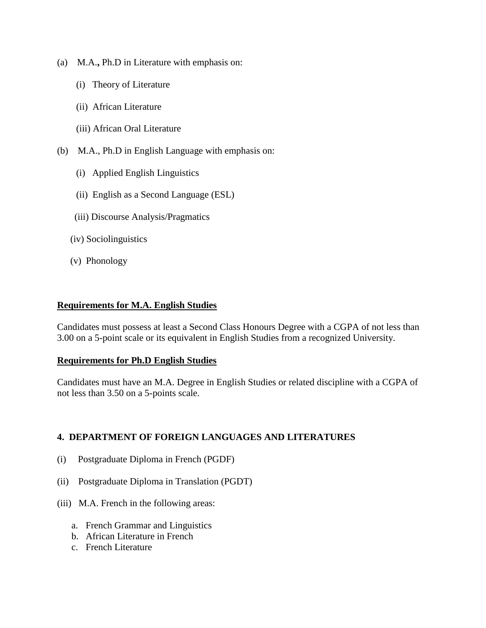- (a) M.A.**,** Ph.D in Literature with emphasis on:
	- (i) Theory of Literature
	- (ii) African Literature
	- (iii) African Oral Literature
- (b) M.A., Ph.D in English Language with emphasis on:
	- (i) Applied English Linguistics
	- (ii) English as a Second Language (ESL)
	- (iii) Discourse Analysis/Pragmatics
	- (iv) Sociolinguistics
	- (v) Phonology

#### **Requirements for M.A. English Studies**

Candidates must possess at least a Second Class Honours Degree with a CGPA of not less than 3.00 on a 5-point scale or its equivalent in English Studies from a recognized University.

#### **Requirements for Ph.D English Studies**

Candidates must have an M.A. Degree in English Studies or related discipline with a CGPA of not less than 3.50 on a 5-points scale.

## **4. DEPARTMENT OF FOREIGN LANGUAGES AND LITERATURES**

- (i) Postgraduate Diploma in French (PGDF)
- (ii) Postgraduate Diploma in Translation (PGDT)
- (iii) M.A. French in the following areas:
	- a. French Grammar and Linguistics
	- b. African Literature in French
	- c. French Literature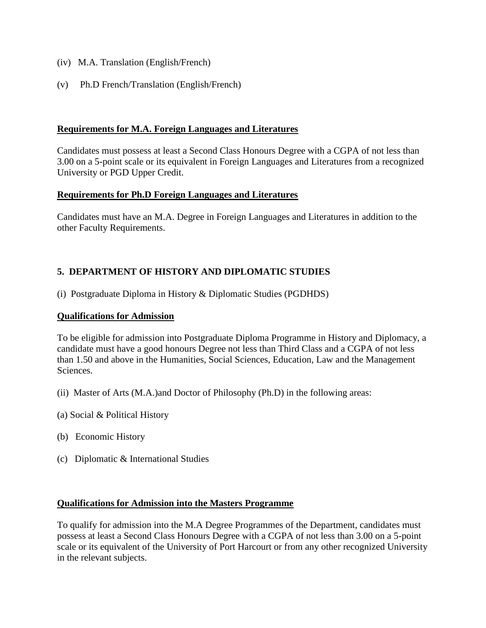- (iv) M.A. Translation (English/French)
- (v) Ph.D French/Translation (English/French)

#### **Requirements for M.A. Foreign Languages and Literatures**

Candidates must possess at least a Second Class Honours Degree with a CGPA of not less than 3.00 on a 5-point scale or its equivalent in Foreign Languages and Literatures from a recognized University or PGD Upper Credit.

#### **Requirements for Ph.D Foreign Languages and Literatures**

Candidates must have an M.A. Degree in Foreign Languages and Literatures in addition to the other Faculty Requirements.

## **5. DEPARTMENT OF HISTORY AND DIPLOMATIC STUDIES**

(i) Postgraduate Diploma in History & Diplomatic Studies (PGDHDS)

#### **Qualifications for Admission**

To be eligible for admission into Postgraduate Diploma Programme in History and Diplomacy, a candidate must have a good honours Degree not less than Third Class and a CGPA of not less than 1.50 and above in the Humanities, Social Sciences, Education, Law and the Management Sciences.

- (ii) Master of Arts (M.A.)and Doctor of Philosophy (Ph.D) in the following areas:
- (a) Social & Political History
- (b) Economic History
- (c) Diplomatic & International Studies

#### **Qualifications for Admission into the Masters Programme**

To qualify for admission into the M.A Degree Programmes of the Department, candidates must possess at least a Second Class Honours Degree with a CGPA of not less than 3.00 on a 5-point scale or its equivalent of the University of Port Harcourt or from any other recognized University in the relevant subjects.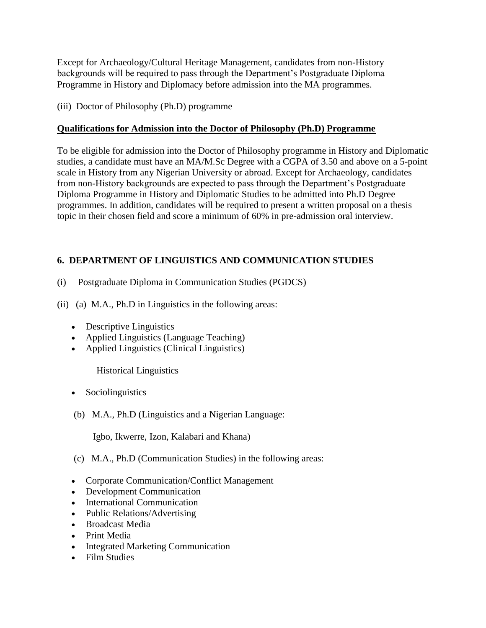Except for Archaeology/Cultural Heritage Management, candidates from non-History backgrounds will be required to pass through the Department's Postgraduate Diploma Programme in History and Diplomacy before admission into the MA programmes.

## (iii) Doctor of Philosophy (Ph.D) programme

## **Qualifications for Admission into the Doctor of Philosophy (Ph.D) Programme**

To be eligible for admission into the Doctor of Philosophy programme in History and Diplomatic studies, a candidate must have an MA/M.Sc Degree with a CGPA of 3.50 and above on a 5-point scale in History from any Nigerian University or abroad. Except for Archaeology, candidates from non-History backgrounds are expected to pass through the Department's Postgraduate Diploma Programme in History and Diplomatic Studies to be admitted into Ph.D Degree programmes. In addition, candidates will be required to present a written proposal on a thesis topic in their chosen field and score a minimum of 60% in pre-admission oral interview.

# **6. DEPARTMENT OF LINGUISTICS AND COMMUNICATION STUDIES**

- (i) Postgraduate Diploma in Communication Studies (PGDCS)
- (ii) (a) M.A., Ph.D in Linguistics in the following areas:
	- Descriptive Linguistics
	- Applied Linguistics (Language Teaching)
	- Applied Linguistics (Clinical Linguistics)

Historical Linguistics

- Sociolinguistics
- (b) M.A., Ph.D (Linguistics and a Nigerian Language:

Igbo, Ikwerre, Izon, Kalabari and Khana)

- (c) M.A., Ph.D (Communication Studies) in the following areas:
- Corporate Communication/Conflict Management
- Development Communication
- International Communication
- Public Relations/Advertising
- Broadcast Media
- Print Media
- Integrated Marketing Communication
- Film Studies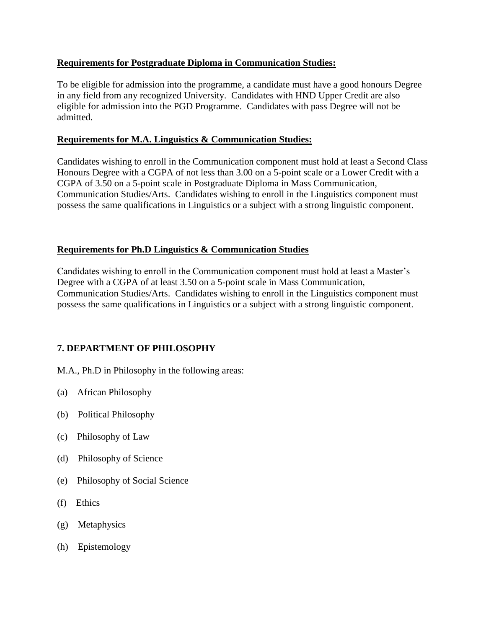## **Requirements for Postgraduate Diploma in Communication Studies:**

To be eligible for admission into the programme, a candidate must have a good honours Degree in any field from any recognized University. Candidates with HND Upper Credit are also eligible for admission into the PGD Programme. Candidates with pass Degree will not be admitted.

## **Requirements for M.A. Linguistics & Communication Studies:**

Candidates wishing to enroll in the Communication component must hold at least a Second Class Honours Degree with a CGPA of not less than 3.00 on a 5-point scale or a Lower Credit with a CGPA of 3.50 on a 5-point scale in Postgraduate Diploma in Mass Communication, Communication Studies/Arts. Candidates wishing to enroll in the Linguistics component must possess the same qualifications in Linguistics or a subject with a strong linguistic component.

## **Requirements for Ph.D Linguistics & Communication Studies**

Candidates wishing to enroll in the Communication component must hold at least a Master's Degree with a CGPA of at least 3.50 on a 5-point scale in Mass Communication, Communication Studies/Arts. Candidates wishing to enroll in the Linguistics component must possess the same qualifications in Linguistics or a subject with a strong linguistic component.

# **7. DEPARTMENT OF PHILOSOPHY**

M.A., Ph.D in Philosophy in the following areas:

- (a) African Philosophy
- (b) Political Philosophy
- (c) Philosophy of Law
- (d) Philosophy of Science
- (e) Philosophy of Social Science
- (f) Ethics
- (g) Metaphysics
- (h) Epistemology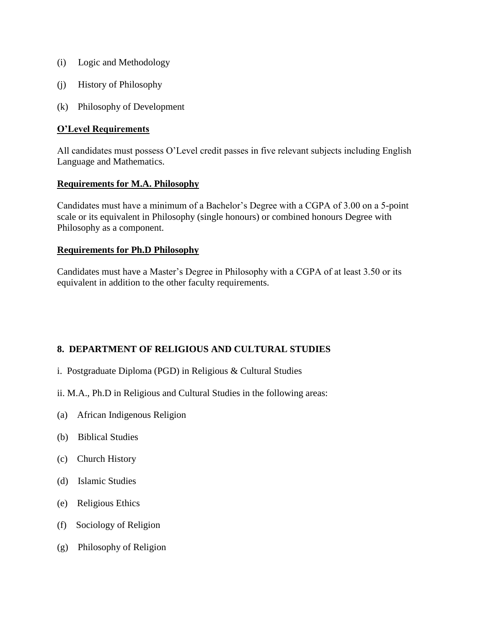- (i) Logic and Methodology
- (j) History of Philosophy
- (k) Philosophy of Development

#### **O'Level Requirements**

All candidates must possess O'Level credit passes in five relevant subjects including English Language and Mathematics.

#### **Requirements for M.A. Philosophy**

Candidates must have a minimum of a Bachelor's Degree with a CGPA of 3.00 on a 5-point scale or its equivalent in Philosophy (single honours) or combined honours Degree with Philosophy as a component.

#### **Requirements for Ph.D Philosophy**

Candidates must have a Master's Degree in Philosophy with a CGPA of at least 3.50 or its equivalent in addition to the other faculty requirements.

# **8. DEPARTMENT OF RELIGIOUS AND CULTURAL STUDIES**

- i. Postgraduate Diploma (PGD) in Religious & Cultural Studies
- ii. M.A., Ph.D in Religious and Cultural Studies in the following areas:
- (a) African Indigenous Religion
- (b) Biblical Studies
- (c) Church History
- (d) Islamic Studies
- (e) Religious Ethics
- (f) Sociology of Religion
- (g) Philosophy of Religion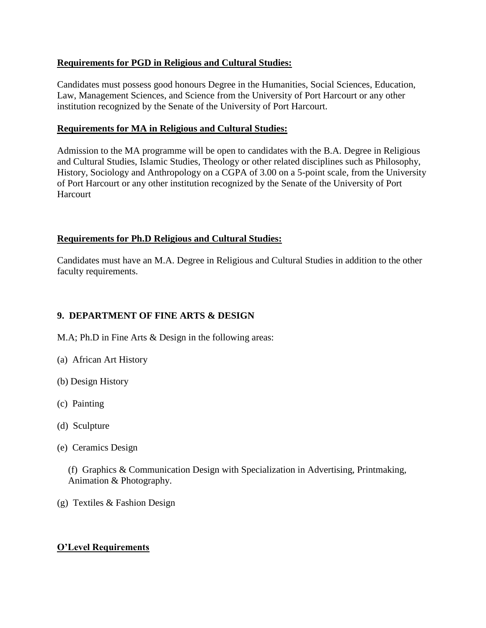## **Requirements for PGD in Religious and Cultural Studies:**

Candidates must possess good honours Degree in the Humanities, Social Sciences, Education, Law, Management Sciences, and Science from the University of Port Harcourt or any other institution recognized by the Senate of the University of Port Harcourt.

## **Requirements for MA in Religious and Cultural Studies:**

Admission to the MA programme will be open to candidates with the B.A. Degree in Religious and Cultural Studies, Islamic Studies, Theology or other related disciplines such as Philosophy, History, Sociology and Anthropology on a CGPA of 3.00 on a 5-point scale, from the University of Port Harcourt or any other institution recognized by the Senate of the University of Port **Harcourt** 

## **Requirements for Ph.D Religious and Cultural Studies:**

Candidates must have an M.A. Degree in Religious and Cultural Studies in addition to the other faculty requirements.

# **9. DEPARTMENT OF FINE ARTS & DESIGN**

- M.A; Ph.D in Fine Arts & Design in the following areas:
- (a) African Art History
- (b) Design History
- (c) Painting
- (d) Sculpture
- (e) Ceramics Design

(f) Graphics & Communication Design with Specialization in Advertising, Printmaking, Animation & Photography.

(g) Textiles & Fashion Design

# **O'Level Requirements**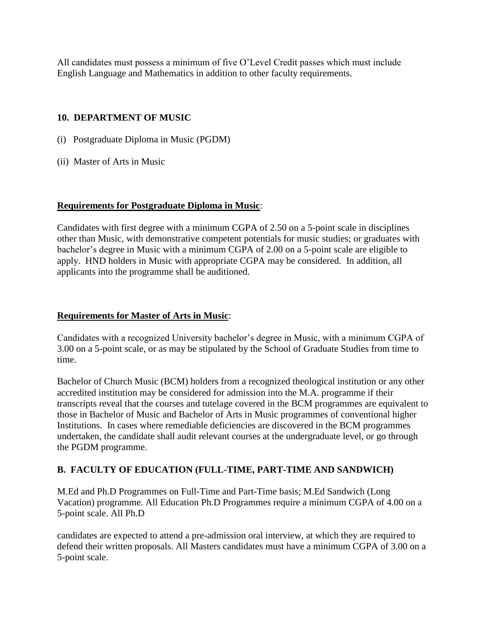All candidates must possess a minimum of five O'Level Credit passes which must include English Language and Mathematics in addition to other faculty requirements.

# **10. DEPARTMENT OF MUSIC**

- (i) Postgraduate Diploma in Music (PGDM)
- (ii) Master of Arts in Music

## **Requirements for Postgraduate Diploma in Music**:

Candidates with first degree with a minimum CGPA of 2.50 on a 5-point scale in disciplines other than Music, with demonstrative competent potentials for music studies; or graduates with bachelor's degree in Music with a minimum CGPA of 2.00 on a 5-point scale are eligible to apply. HND holders in Music with appropriate CGPA may be considered. In addition, all applicants into the programme shall be auditioned.

# **Requirements for Master of Arts in Music**:

Candidates with a recognized University bachelor's degree in Music, with a minimum CGPA of 3.00 on a 5-point scale, or as may be stipulated by the School of Graduate Studies from time to time.

Bachelor of Church Music (BCM) holders from a recognized theological institution or any other accredited institution may be considered for admission into the M.A. programme if their transcripts reveal that the courses and tutelage covered in the BCM programmes are equivalent to those in Bachelor of Music and Bachelor of Arts in Music programmes of conventional higher Institutions. In cases where remediable deficiencies are discovered in the BCM programmes undertaken, the candidate shall audit relevant courses at the undergraduate level, or go through the PGDM programme.

# **B. FACULTY OF EDUCATION (FULL-TIME, PART-TIME AND SANDWICH)**

M.Ed and Ph.D Programmes on Full-Time and Part-Time basis; M.Ed Sandwich (Long Vacation) programme. All Education Ph.D Programmes require a minimum CGPA of 4.00 on a 5-point scale. All Ph.D

candidates are expected to attend a pre-admission oral interview, at which they are required to defend their written proposals. All Masters candidates must have a minimum CGPA of 3.00 on a 5-point scale.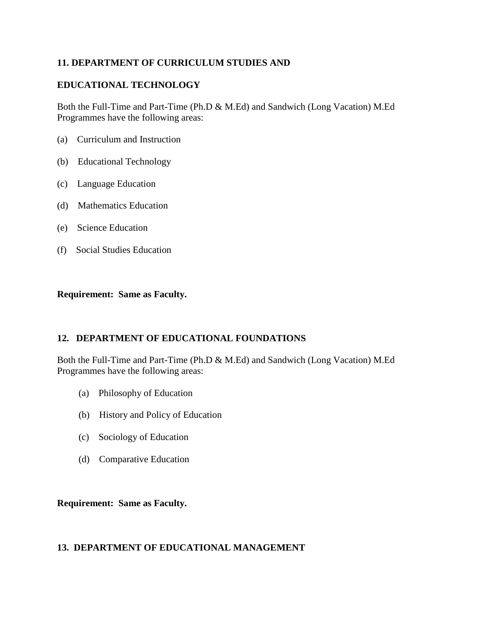## **11. DEPARTMENT OF CURRICULUM STUDIES AND**

## **EDUCATIONAL TECHNOLOGY**

Both the Full-Time and Part-Time (Ph.D & M.Ed) and Sandwich (Long Vacation) M.Ed Programmes have the following areas:

- (a) Curriculum and Instruction
- (b) Educational Technology
- (c) Language Education
- (d) Mathematics Education
- (e) Science Education
- (f) Social Studies Education

#### **Requirement: Same as Faculty.**

## **12. DEPARTMENT OF EDUCATIONAL FOUNDATIONS**

Both the Full-Time and Part-Time (Ph.D & M.Ed) and Sandwich (Long Vacation) M.Ed Programmes have the following areas:

- (a) Philosophy of Education
- (b) History and Policy of Education
- (c) Sociology of Education
- (d) Comparative Education

#### **Requirement: Same as Faculty.**

## **13. DEPARTMENT OF EDUCATIONAL MANAGEMENT**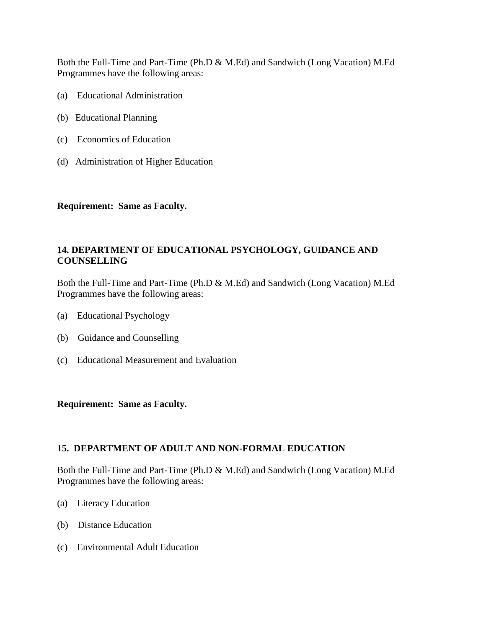Both the Full-Time and Part-Time (Ph.D & M.Ed) and Sandwich (Long Vacation) M.Ed Programmes have the following areas:

- (a) Educational Administration
- (b) Educational Planning
- (c) Economics of Education
- (d) Administration of Higher Education

#### **Requirement: Same as Faculty.**

## **14. DEPARTMENT OF EDUCATIONAL PSYCHOLOGY, GUIDANCE AND COUNSELLING**

Both the Full-Time and Part-Time (Ph.D & M.Ed) and Sandwich (Long Vacation) M.Ed Programmes have the following areas:

- (a) Educational Psychology
- (b) Guidance and Counselling
- (c) Educational Measurement and Evaluation

#### **Requirement: Same as Faculty.**

## **15. DEPARTMENT OF ADULT AND NON-FORMAL EDUCATION**

Both the Full-Time and Part-Time (Ph.D & M.Ed) and Sandwich (Long Vacation) M.Ed Programmes have the following areas:

- (a) Literacy Education
- (b) Distance Education
- (c) Environmental Adult Education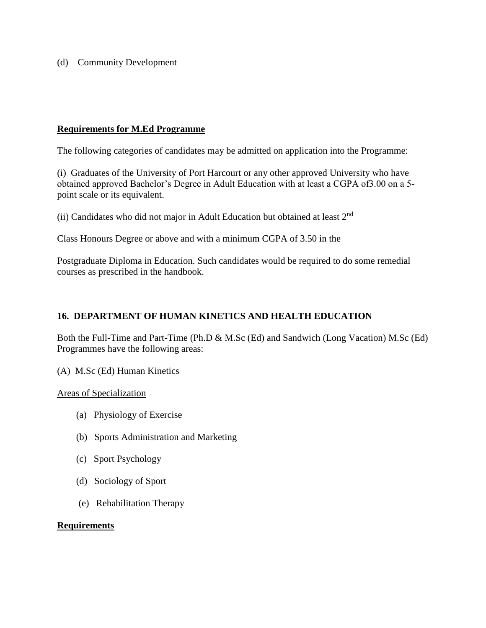(d) Community Development

#### **Requirements for M.Ed Programme**

The following categories of candidates may be admitted on application into the Programme:

(i) Graduates of the University of Port Harcourt or any other approved University who have obtained approved Bachelor's Degree in Adult Education with at least a CGPA of3.00 on a 5 point scale or its equivalent.

(ii) Candidates who did not major in Adult Education but obtained at least 2nd

Class Honours Degree or above and with a minimum CGPA of 3.50 in the

Postgraduate Diploma in Education. Such candidates would be required to do some remedial courses as prescribed in the handbook.

#### **16. DEPARTMENT OF HUMAN KINETICS AND HEALTH EDUCATION**

Both the Full-Time and Part-Time (Ph.D & M.Sc (Ed) and Sandwich (Long Vacation) M.Sc (Ed) Programmes have the following areas:

(A) M.Sc (Ed) Human Kinetics

Areas of Specialization

- (a) Physiology of Exercise
- (b) Sports Administration and Marketing
- (c) Sport Psychology
- (d) Sociology of Sport
- (e) Rehabilitation Therapy

#### **Requirements**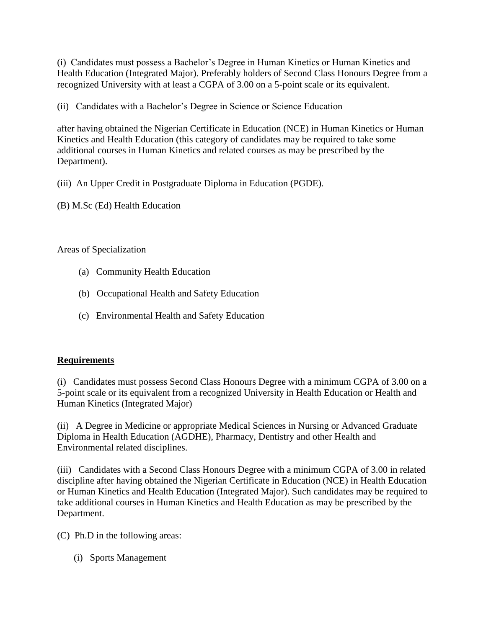(i) Candidates must possess a Bachelor's Degree in Human Kinetics or Human Kinetics and Health Education (Integrated Major). Preferably holders of Second Class Honours Degree from a recognized University with at least a CGPA of 3.00 on a 5-point scale or its equivalent.

(ii) Candidates with a Bachelor's Degree in Science or Science Education

after having obtained the Nigerian Certificate in Education (NCE) in Human Kinetics or Human Kinetics and Health Education (this category of candidates may be required to take some additional courses in Human Kinetics and related courses as may be prescribed by the Department).

(iii) An Upper Credit in Postgraduate Diploma in Education (PGDE).

(B) M.Sc (Ed) Health Education

## Areas of Specialization

- (a) Community Health Education
- (b) Occupational Health and Safety Education
- (c) Environmental Health and Safety Education

## **Requirements**

(i) Candidates must possess Second Class Honours Degree with a minimum CGPA of 3.00 on a 5-point scale or its equivalent from a recognized University in Health Education or Health and Human Kinetics (Integrated Major)

(ii) A Degree in Medicine or appropriate Medical Sciences in Nursing or Advanced Graduate Diploma in Health Education (AGDHE), Pharmacy, Dentistry and other Health and Environmental related disciplines.

(iii) Candidates with a Second Class Honours Degree with a minimum CGPA of 3.00 in related discipline after having obtained the Nigerian Certificate in Education (NCE) in Health Education or Human Kinetics and Health Education (Integrated Major). Such candidates may be required to take additional courses in Human Kinetics and Health Education as may be prescribed by the Department.

(C) Ph.D in the following areas:

(i) Sports Management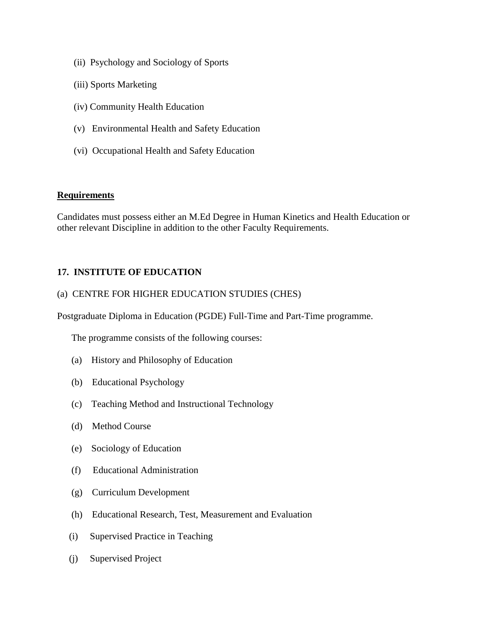- (ii) Psychology and Sociology of Sports
- (iii) Sports Marketing
- (iv) Community Health Education
- (v) Environmental Health and Safety Education
- (vi) Occupational Health and Safety Education

#### **Requirements**

Candidates must possess either an M.Ed Degree in Human Kinetics and Health Education or other relevant Discipline in addition to the other Faculty Requirements.

## **17. INSTITUTE OF EDUCATION**

#### (a) CENTRE FOR HIGHER EDUCATION STUDIES (CHES)

Postgraduate Diploma in Education (PGDE) Full-Time and Part-Time programme.

The programme consists of the following courses:

- (a) History and Philosophy of Education
- (b) Educational Psychology
- (c) Teaching Method and Instructional Technology
- (d) Method Course
- (e) Sociology of Education
- (f) Educational Administration
- (g) Curriculum Development
- (h) Educational Research, Test, Measurement and Evaluation
- (i) Supervised Practice in Teaching
- (j) Supervised Project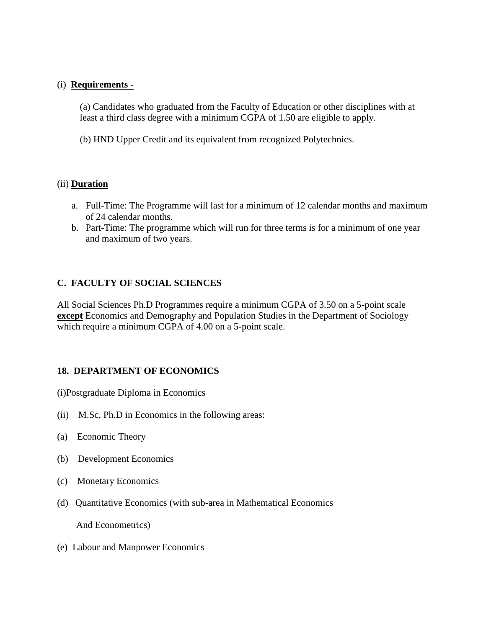#### (i) **Requirements -**

(a) Candidates who graduated from the Faculty of Education or other disciplines with at least a third class degree with a minimum CGPA of 1.50 are eligible to apply.

(b) HND Upper Credit and its equivalent from recognized Polytechnics.

#### (ii) **Duration**

- a. Full-Time: The Programme will last for a minimum of 12 calendar months and maximum of 24 calendar months.
- b. Part-Time: The programme which will run for three terms is for a minimum of one year and maximum of two years.

## **C. FACULTY OF SOCIAL SCIENCES**

All Social Sciences Ph.D Programmes require a minimum CGPA of 3.50 on a 5-point scale **except** Economics and Demography and Population Studies in the Department of Sociology which require a minimum CGPA of 4.00 on a 5-point scale.

## **18. DEPARTMENT OF ECONOMICS**

(i)Postgraduate Diploma in Economics

- (ii) M.Sc, Ph.D in Economics in the following areas:
- (a) Economic Theory
- (b) Development Economics
- (c) Monetary Economics
- (d) Quantitative Economics (with sub-area in Mathematical Economics

And Econometrics)

(e) Labour and Manpower Economics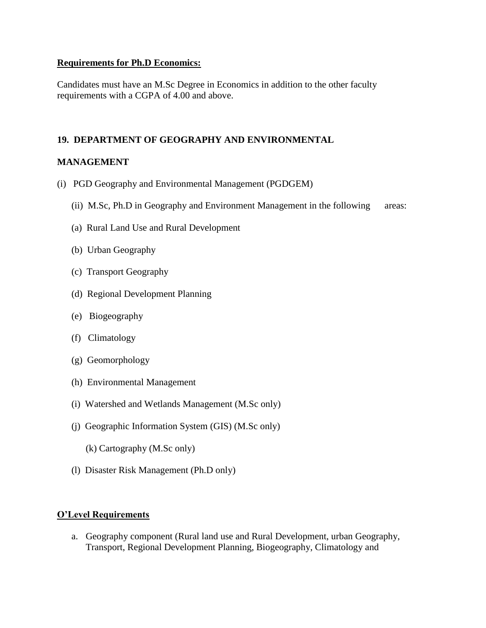#### **Requirements for Ph.D Economics:**

Candidates must have an M.Sc Degree in Economics in addition to the other faculty requirements with a CGPA of 4.00 and above.

## **19. DEPARTMENT OF GEOGRAPHY AND ENVIRONMENTAL**

## **MANAGEMENT**

- (i) PGD Geography and Environmental Management (PGDGEM)
	- (ii) M.Sc, Ph.D in Geography and Environment Management in the following areas:
	- (a) Rural Land Use and Rural Development
	- (b) Urban Geography
	- (c) Transport Geography
	- (d) Regional Development Planning
	- (e) Biogeography
	- (f) Climatology
	- (g) Geomorphology
	- (h) Environmental Management
	- (i) Watershed and Wetlands Management (M.Sc only)
	- (j) Geographic Information System (GIS) (M.Sc only)
		- (k) Cartography (M.Sc only)
	- (l) Disaster Risk Management (Ph.D only)

#### **O'Level Requirements**

a. Geography component (Rural land use and Rural Development, urban Geography, Transport, Regional Development Planning, Biogeography, Climatology and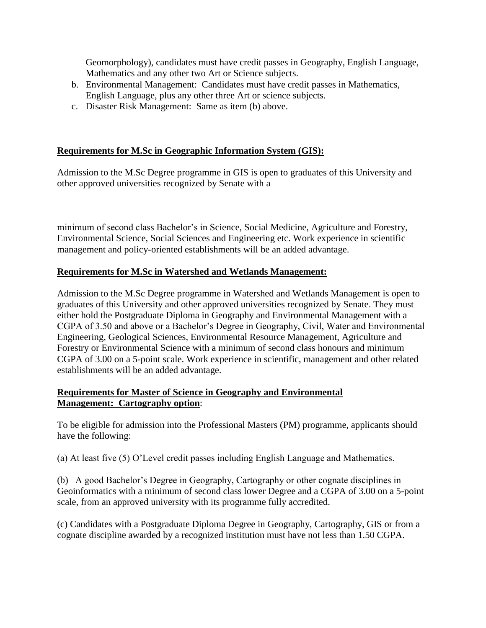Geomorphology), candidates must have credit passes in Geography, English Language, Mathematics and any other two Art or Science subjects.

- b. Environmental Management: Candidates must have credit passes in Mathematics, English Language, plus any other three Art or science subjects.
- c. Disaster Risk Management: Same as item (b) above.

## **Requirements for M.Sc in Geographic Information System (GIS):**

Admission to the M.Sc Degree programme in GIS is open to graduates of this University and other approved universities recognized by Senate with a

minimum of second class Bachelor's in Science, Social Medicine, Agriculture and Forestry, Environmental Science, Social Sciences and Engineering etc. Work experience in scientific management and policy-oriented establishments will be an added advantage.

## **Requirements for M.Sc in Watershed and Wetlands Management:**

Admission to the M.Sc Degree programme in Watershed and Wetlands Management is open to graduates of this University and other approved universities recognized by Senate. They must either hold the Postgraduate Diploma in Geography and Environmental Management with a CGPA of 3.50 and above or a Bachelor's Degree in Geography, Civil, Water and Environmental Engineering, Geological Sciences, Environmental Resource Management, Agriculture and Forestry or Environmental Science with a minimum of second class honours and minimum CGPA of 3.00 on a 5-point scale. Work experience in scientific, management and other related establishments will be an added advantage.

## **Requirements for Master of Science in Geography and Environmental Management: Cartography option**:

To be eligible for admission into the Professional Masters (PM) programme, applicants should have the following:

(a) At least five (5) O'Level credit passes including English Language and Mathematics.

(b) A good Bachelor's Degree in Geography, Cartography or other cognate disciplines in Geoinformatics with a minimum of second class lower Degree and a CGPA of 3.00 on a 5-point scale, from an approved university with its programme fully accredited.

(c) Candidates with a Postgraduate Diploma Degree in Geography, Cartography, GIS or from a cognate discipline awarded by a recognized institution must have not less than 1.50 CGPA.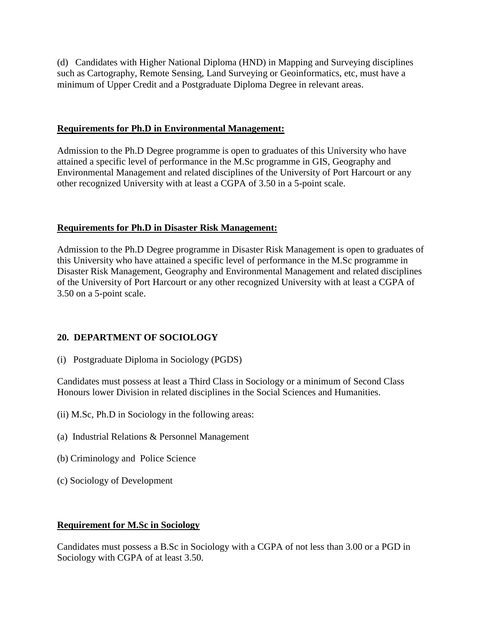(d) Candidates with Higher National Diploma (HND) in Mapping and Surveying disciplines such as Cartography, Remote Sensing, Land Surveying or Geoinformatics, etc, must have a minimum of Upper Credit and a Postgraduate Diploma Degree in relevant areas.

#### **Requirements for Ph.D in Environmental Management:**

Admission to the Ph.D Degree programme is open to graduates of this University who have attained a specific level of performance in the M.Sc programme in GIS, Geography and Environmental Management and related disciplines of the University of Port Harcourt or any other recognized University with at least a CGPA of 3.50 in a 5-point scale.

## **Requirements for Ph.D in Disaster Risk Management:**

Admission to the Ph.D Degree programme in Disaster Risk Management is open to graduates of this University who have attained a specific level of performance in the M.Sc programme in Disaster Risk Management, Geography and Environmental Management and related disciplines of the University of Port Harcourt or any other recognized University with at least a CGPA of 3.50 on a 5-point scale.

# **20. DEPARTMENT OF SOCIOLOGY**

(i) Postgraduate Diploma in Sociology (PGDS)

Candidates must possess at least a Third Class in Sociology or a minimum of Second Class Honours lower Division in related disciplines in the Social Sciences and Humanities.

- (ii) M.Sc, Ph.D in Sociology in the following areas:
- (a) Industrial Relations & Personnel Management
- (b) Criminology and Police Science
- (c) Sociology of Development

## **Requirement for M.Sc in Sociology**

Candidates must possess a B.Sc in Sociology with a CGPA of not less than 3.00 or a PGD in Sociology with CGPA of at least 3.50.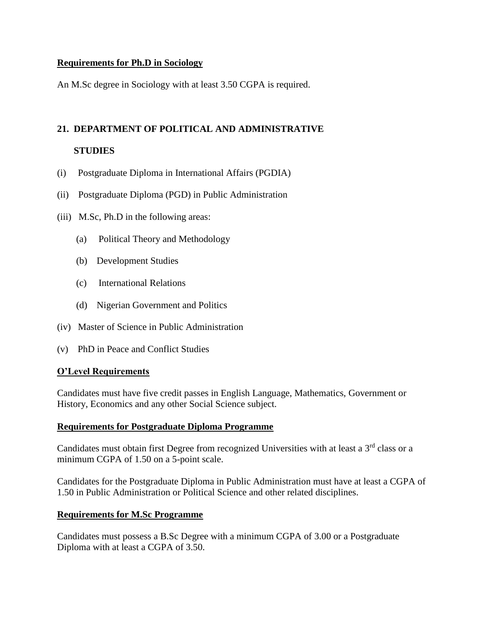#### **Requirements for Ph.D in Sociology**

An M.Sc degree in Sociology with at least 3.50 CGPA is required.

# **21. DEPARTMENT OF POLITICAL AND ADMINISTRATIVE**

#### **STUDIES**

- (i) Postgraduate Diploma in International Affairs (PGDIA)
- (ii) Postgraduate Diploma (PGD) in Public Administration
- (iii) M.Sc, Ph.D in the following areas:
	- (a) Political Theory and Methodology
	- (b) Development Studies
	- (c) International Relations
	- (d) Nigerian Government and Politics
- (iv) Master of Science in Public Administration
- (v) PhD in Peace and Conflict Studies

#### **O'Level Requirements**

Candidates must have five credit passes in English Language, Mathematics, Government or History, Economics and any other Social Science subject.

#### **Requirements for Postgraduate Diploma Programme**

Candidates must obtain first Degree from recognized Universities with at least a 3<sup>rd</sup> class or a minimum CGPA of 1.50 on a 5-point scale.

Candidates for the Postgraduate Diploma in Public Administration must have at least a CGPA of 1.50 in Public Administration or Political Science and other related disciplines.

#### **Requirements for M.Sc Programme**

Candidates must possess a B.Sc Degree with a minimum CGPA of 3.00 or a Postgraduate Diploma with at least a CGPA of 3.50.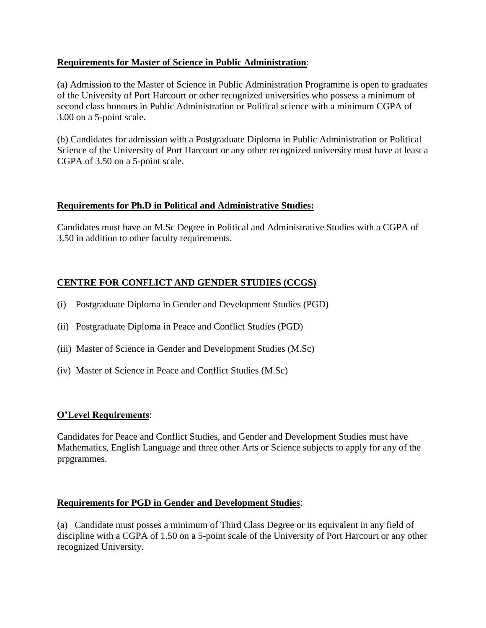## **Requirements for Master of Science in Public Administration**:

(a) Admission to the Master of Science in Public Administration Programme is open to graduates of the University of Port Harcourt or other recognized universities who possess a minimum of second class honours in Public Administration or Political science with a minimum CGPA of 3.00 on a 5-point scale.

(b) Candidates for admission with a Postgraduate Diploma in Public Administration or Political Science of the University of Port Harcourt or any other recognized university must have at least a CGPA of 3.50 on a 5-point scale.

## **Requirements for Ph.D in Political and Administrative Studies:**

Candidates must have an M.Sc Degree in Political and Administrative Studies with a CGPA of 3.50 in addition to other faculty requirements.

## **CENTRE FOR CONFLICT AND GENDER STUDIES (CCGS)**

- (i) Postgraduate Diploma in Gender and Development Studies (PGD)
- (ii) Postgraduate Diploma in Peace and Conflict Studies (PGD)
- (iii) Master of Science in Gender and Development Studies (M.Sc)
- (iv) Master of Science in Peace and Conflict Studies (M.Sc)

#### **O'Level Requirements**:

Candidates for Peace and Conflict Studies, and Gender and Development Studies must have Mathematics, English Language and three other Arts or Science subjects to apply for any of the prpgrammes.

#### **Requirements for PGD in Gender and Development Studies**:

(a) Candidate must posses a minimum of Third Class Degree or its equivalent in any field of discipline with a CGPA of 1.50 on a 5-point scale of the University of Port Harcourt or any other recognized University.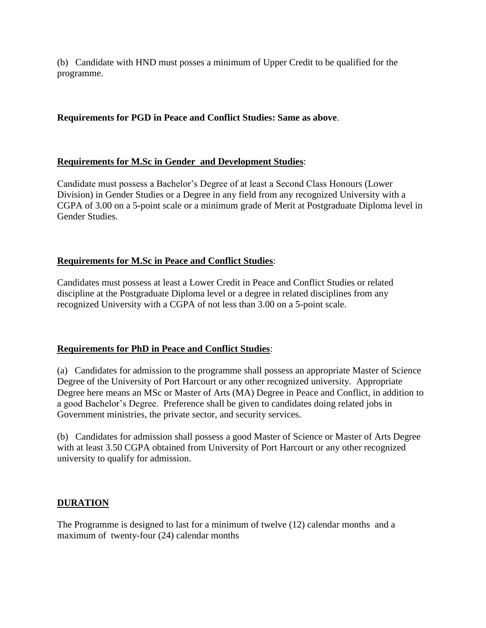(b) Candidate with HND must posses a minimum of Upper Credit to be qualified for the programme.

## **Requirements for PGD in Peace and Conflict Studies: Same as above**.

## **Requirements for M.Sc in Gender and Development Studies**:

Candidate must possess a Bachelor's Degree of at least a Second Class Honours (Lower Division) in Gender Studies or a Degree in any field from any recognized University with a CGPA of 3.00 on a 5-point scale or a minimum grade of Merit at Postgraduate Diploma level in Gender Studies.

## **Requirements for M.Sc in Peace and Conflict Studies**:

Candidates must possess at least a Lower Credit in Peace and Conflict Studies or related discipline at the Postgraduate Diploma level or a degree in related disciplines from any recognized University with a CGPA of not less than 3.00 on a 5-point scale.

## **Requirements for PhD in Peace and Conflict Studies**:

(a) Candidates for admission to the programme shall possess an appropriate Master of Science Degree of the University of Port Harcourt or any other recognized university. Appropriate Degree here means an MSc or Master of Arts (MA) Degree in Peace and Conflict, in addition to a good Bachelor's Degree. Preference shall be given to candidates doing related jobs in Government ministries, the private sector, and security services.

(b) Candidates for admission shall possess a good Master of Science or Master of Arts Degree with at least 3.50 CGPA obtained from University of Port Harcourt or any other recognized university to qualify for admission.

# **DURATION**

The Programme is designed to last for a minimum of twelve (12) calendar months and a maximum of twenty-four (24) calendar months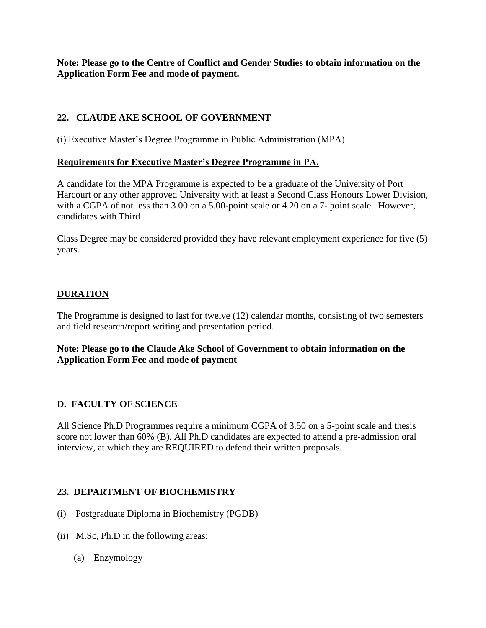**Note: Please go to the Centre of Conflict and Gender Studies to obtain information on the Application Form Fee and mode of payment.**

## **22. CLAUDE AKE SCHOOL OF GOVERNMENT**

(i) Executive Master's Degree Programme in Public Administration (MPA)

#### **Requirements for Executive Master's Degree Programme in PA.**

A candidate for the MPA Programme is expected to be a graduate of the University of Port Harcourt or any other approved University with at least a Second Class Honours Lower Division, with a CGPA of not less than 3.00 on a 5.00-point scale or 4.20 on a 7- point scale. However, candidates with Third

Class Degree may be considered provided they have relevant employment experience for five (5) years.

## **DURATION**

The Programme is designed to last for twelve (12) calendar months, consisting of two semesters and field research/report writing and presentation period.

**Note: Please go to the Claude Ake School of Government to obtain information on the Application Form Fee and mode of payment**

## **D. FACULTY OF SCIENCE**

All Science Ph.D Programmes require a minimum CGPA of 3.50 on a 5-point scale and thesis score not lower than 60% (B). All Ph.D candidates are expected to attend a pre-admission oral interview, at which they are REQUIRED to defend their written proposals.

#### **23. DEPARTMENT OF BIOCHEMISTRY**

- (i) Postgraduate Diploma in Biochemistry (PGDB)
- (ii) M.Sc, Ph.D in the following areas:
	- (a) Enzymology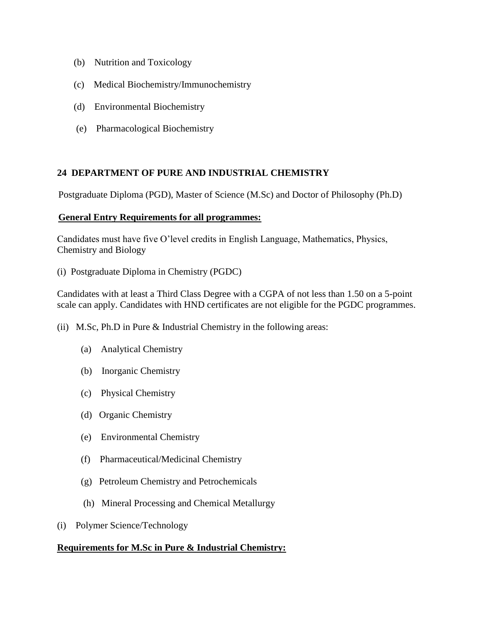- (b) Nutrition and Toxicology
- (c) Medical Biochemistry/Immunochemistry
- (d) Environmental Biochemistry
- (e) Pharmacological Biochemistry

#### **24 DEPARTMENT OF PURE AND INDUSTRIAL CHEMISTRY**

Postgraduate Diploma (PGD), Master of Science (M.Sc) and Doctor of Philosophy (Ph.D)

#### **General Entry Requirements for all programmes:**

Candidates must have five O'level credits in English Language, Mathematics, Physics, Chemistry and Biology

(i) Postgraduate Diploma in Chemistry (PGDC)

Candidates with at least a Third Class Degree with a CGPA of not less than 1.50 on a 5-point scale can apply. Candidates with HND certificates are not eligible for the PGDC programmes.

- (ii) M.Sc, Ph.D in Pure & Industrial Chemistry in the following areas:
	- (a) Analytical Chemistry
	- (b) Inorganic Chemistry
	- (c) Physical Chemistry
	- (d) Organic Chemistry
	- (e) Environmental Chemistry
	- (f) Pharmaceutical/Medicinal Chemistry
	- (g) Petroleum Chemistry and Petrochemicals
	- (h) Mineral Processing and Chemical Metallurgy
- (i) Polymer Science/Technology

## **Requirements for M.Sc in Pure & Industrial Chemistry:**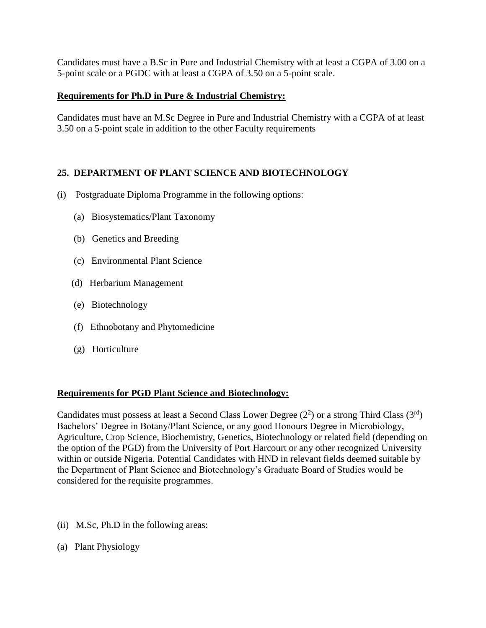Candidates must have a B.Sc in Pure and Industrial Chemistry with at least a CGPA of 3.00 on a 5-point scale or a PGDC with at least a CGPA of 3.50 on a 5-point scale.

# **Requirements for Ph.D in Pure & Industrial Chemistry:**

Candidates must have an M.Sc Degree in Pure and Industrial Chemistry with a CGPA of at least 3.50 on a 5-point scale in addition to the other Faculty requirements

# **25. DEPARTMENT OF PLANT SCIENCE AND BIOTECHNOLOGY**

- (i) Postgraduate Diploma Programme in the following options:
	- (a) Biosystematics/Plant Taxonomy
	- (b) Genetics and Breeding
	- (c) Environmental Plant Science
	- (d) Herbarium Management
	- (e) Biotechnology
	- (f) Ethnobotany and Phytomedicine
	- (g) Horticulture

## **Requirements for PGD Plant Science and Biotechnology:**

Candidates must possess at least a Second Class Lower Degree  $(2^2)$  or a strong Third Class  $(3^{rd})$ Bachelors' Degree in Botany/Plant Science, or any good Honours Degree in Microbiology, Agriculture, Crop Science, Biochemistry, Genetics, Biotechnology or related field (depending on the option of the PGD) from the University of Port Harcourt or any other recognized University within or outside Nigeria. Potential Candidates with HND in relevant fields deemed suitable by the Department of Plant Science and Biotechnology's Graduate Board of Studies would be considered for the requisite programmes.

- (ii) M.Sc, Ph.D in the following areas:
- (a) Plant Physiology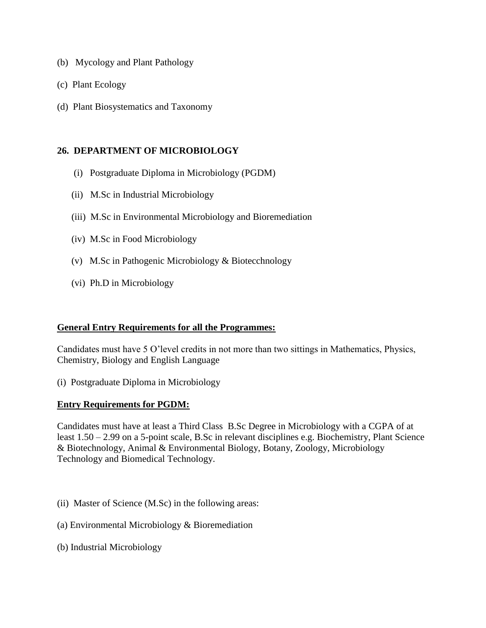- (b) Mycology and Plant Pathology
- (c) Plant Ecology
- (d) Plant Biosystematics and Taxonomy

#### **26. DEPARTMENT OF MICROBIOLOGY**

- (i) Postgraduate Diploma in Microbiology (PGDM)
- (ii) M.Sc in Industrial Microbiology
- (iii) M.Sc in Environmental Microbiology and Bioremediation
- (iv) M.Sc in Food Microbiology
- (v) M.Sc in Pathogenic Microbiology & Biotecchnology
- (vi) Ph.D in Microbiology

#### **General Entry Requirements for all the Programmes:**

Candidates must have 5 O'level credits in not more than two sittings in Mathematics, Physics, Chemistry, Biology and English Language

(i) Postgraduate Diploma in Microbiology

#### **Entry Requirements for PGDM:**

Candidates must have at least a Third Class B.Sc Degree in Microbiology with a CGPA of at least 1.50 – 2.99 on a 5-point scale, B.Sc in relevant disciplines e.g. Biochemistry, Plant Science & Biotechnology, Animal & Environmental Biology, Botany, Zoology, Microbiology Technology and Biomedical Technology.

- (ii) Master of Science (M.Sc) in the following areas:
- (a) Environmental Microbiology & Bioremediation
- (b) Industrial Microbiology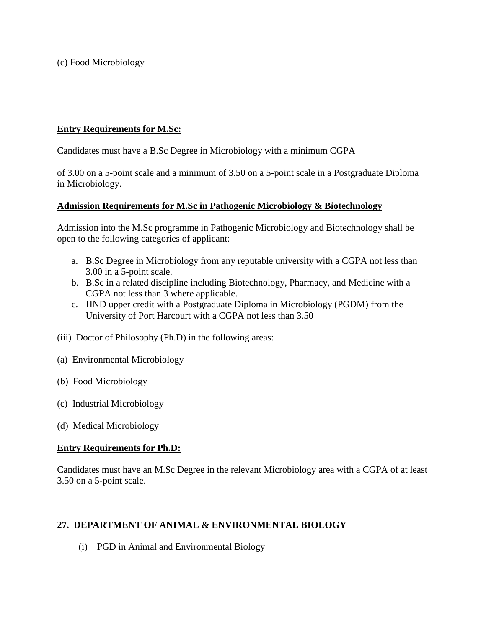(c) Food Microbiology

## **Entry Requirements for M.Sc:**

Candidates must have a B.Sc Degree in Microbiology with a minimum CGPA

of 3.00 on a 5-point scale and a minimum of 3.50 on a 5-point scale in a Postgraduate Diploma in Microbiology.

#### **Admission Requirements for M.Sc in Pathogenic Microbiology & Biotechnology**

Admission into the M.Sc programme in Pathogenic Microbiology and Biotechnology shall be open to the following categories of applicant:

- a. B.Sc Degree in Microbiology from any reputable university with a CGPA not less than 3.00 in a 5-point scale.
- b. B.Sc in a related discipline including Biotechnology, Pharmacy, and Medicine with a CGPA not less than 3 where applicable.
- c. HND upper credit with a Postgraduate Diploma in Microbiology (PGDM) from the University of Port Harcourt with a CGPA not less than 3.50
- (iii) Doctor of Philosophy (Ph.D) in the following areas:
- (a) Environmental Microbiology
- (b) Food Microbiology
- (c) Industrial Microbiology
- (d) Medical Microbiology

## **Entry Requirements for Ph.D:**

Candidates must have an M.Sc Degree in the relevant Microbiology area with a CGPA of at least 3.50 on a 5-point scale.

## **27. DEPARTMENT OF ANIMAL & ENVIRONMENTAL BIOLOGY**

(i) PGD in Animal and Environmental Biology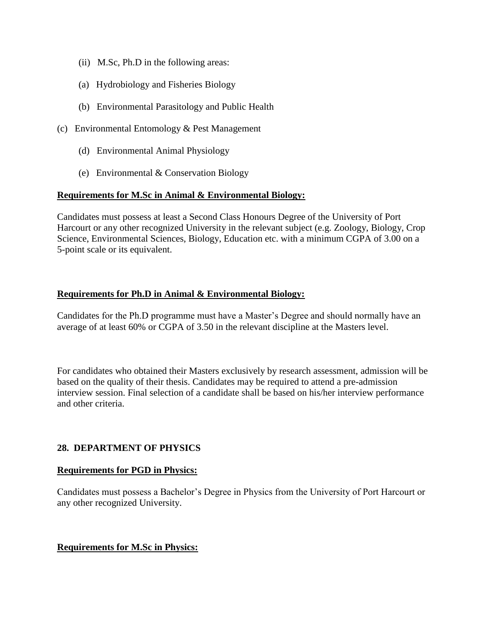- (ii) M.Sc, Ph.D in the following areas:
- (a) Hydrobiology and Fisheries Biology
- (b) Environmental Parasitology and Public Health
- (c) Environmental Entomology & Pest Management
	- (d) Environmental Animal Physiology
	- (e) Environmental & Conservation Biology

## **Requirements for M.Sc in Animal & Environmental Biology:**

Candidates must possess at least a Second Class Honours Degree of the University of Port Harcourt or any other recognized University in the relevant subject (e.g. Zoology, Biology, Crop Science, Environmental Sciences, Biology, Education etc. with a minimum CGPA of 3.00 on a 5-point scale or its equivalent.

## **Requirements for Ph.D in Animal & Environmental Biology:**

Candidates for the Ph.D programme must have a Master's Degree and should normally have an average of at least 60% or CGPA of 3.50 in the relevant discipline at the Masters level.

For candidates who obtained their Masters exclusively by research assessment, admission will be based on the quality of their thesis. Candidates may be required to attend a pre-admission interview session. Final selection of a candidate shall be based on his/her interview performance and other criteria.

## **28. DEPARTMENT OF PHYSICS**

## **Requirements for PGD in Physics:**

Candidates must possess a Bachelor's Degree in Physics from the University of Port Harcourt or any other recognized University.

## **Requirements for M.Sc in Physics:**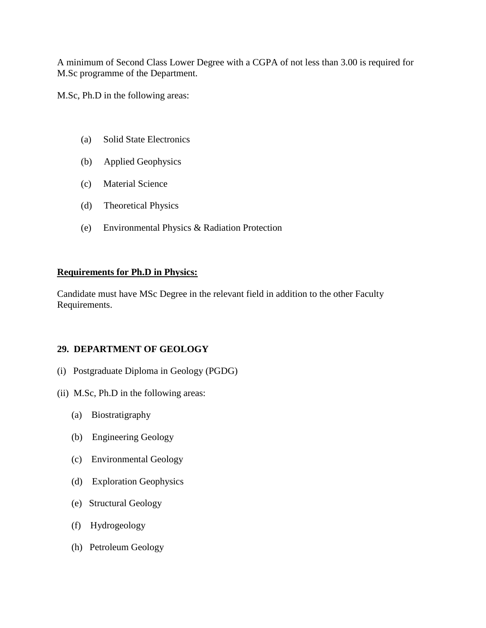A minimum of Second Class Lower Degree with a CGPA of not less than 3.00 is required for M.Sc programme of the Department.

M.Sc, Ph.D in the following areas:

- (a) Solid State Electronics
- (b) Applied Geophysics
- (c) Material Science
- (d) Theoretical Physics
- (e) Environmental Physics & Radiation Protection

## **Requirements for Ph.D in Physics:**

Candidate must have MSc Degree in the relevant field in addition to the other Faculty Requirements.

## **29. DEPARTMENT OF GEOLOGY**

- (i) Postgraduate Diploma in Geology (PGDG)
- (ii) M.Sc, Ph.D in the following areas:
	- (a) Biostratigraphy
	- (b) Engineering Geology
	- (c) Environmental Geology
	- (d) Exploration Geophysics
	- (e) Structural Geology
	- (f) Hydrogeology
	- (h) Petroleum Geology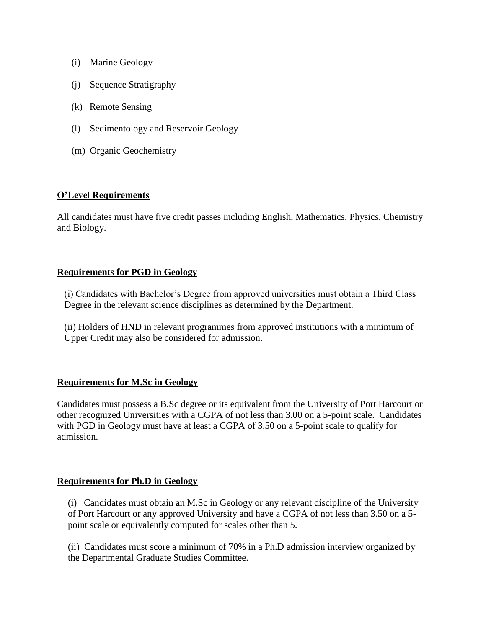- (i) Marine Geology
- (j) Sequence Stratigraphy
- (k) Remote Sensing
- (l) Sedimentology and Reservoir Geology
- (m) Organic Geochemistry

#### **O'Level Requirements**

All candidates must have five credit passes including English, Mathematics, Physics, Chemistry and Biology.

#### **Requirements for PGD in Geology**

(i) Candidates with Bachelor's Degree from approved universities must obtain a Third Class Degree in the relevant science disciplines as determined by the Department.

(ii) Holders of HND in relevant programmes from approved institutions with a minimum of Upper Credit may also be considered for admission.

#### **Requirements for M.Sc in Geology**

Candidates must possess a B.Sc degree or its equivalent from the University of Port Harcourt or other recognized Universities with a CGPA of not less than 3.00 on a 5-point scale. Candidates with PGD in Geology must have at least a CGPA of 3.50 on a 5-point scale to qualify for admission.

#### **Requirements for Ph.D in Geology**

(i) Candidates must obtain an M.Sc in Geology or any relevant discipline of the University of Port Harcourt or any approved University and have a CGPA of not less than 3.50 on a 5 point scale or equivalently computed for scales other than 5.

(ii) Candidates must score a minimum of 70% in a Ph.D admission interview organized by the Departmental Graduate Studies Committee.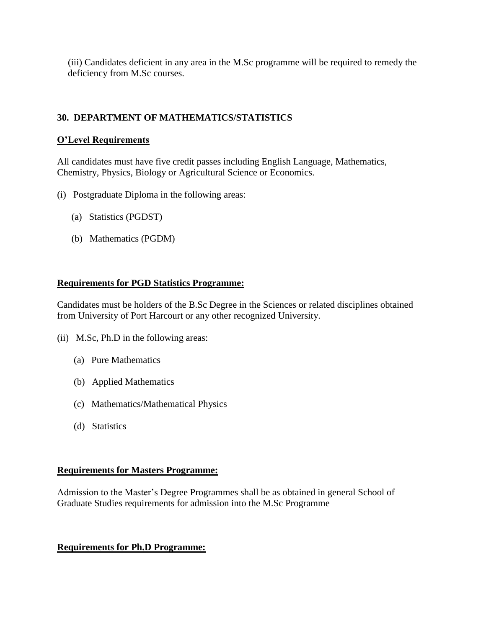(iii) Candidates deficient in any area in the M.Sc programme will be required to remedy the deficiency from M.Sc courses.

# **30. DEPARTMENT OF MATHEMATICS/STATISTICS**

#### **O'Level Requirements**

All candidates must have five credit passes including English Language, Mathematics, Chemistry, Physics, Biology or Agricultural Science or Economics.

- (i) Postgraduate Diploma in the following areas:
	- (a) Statistics (PGDST)
	- (b) Mathematics (PGDM)

#### **Requirements for PGD Statistics Programme:**

Candidates must be holders of the B.Sc Degree in the Sciences or related disciplines obtained from University of Port Harcourt or any other recognized University.

- (ii) M.Sc, Ph.D in the following areas:
	- (a) Pure Mathematics
	- (b) Applied Mathematics
	- (c) Mathematics/Mathematical Physics
	- (d) Statistics

#### **Requirements for Masters Programme:**

Admission to the Master's Degree Programmes shall be as obtained in general School of Graduate Studies requirements for admission into the M.Sc Programme

## **Requirements for Ph.D Programme:**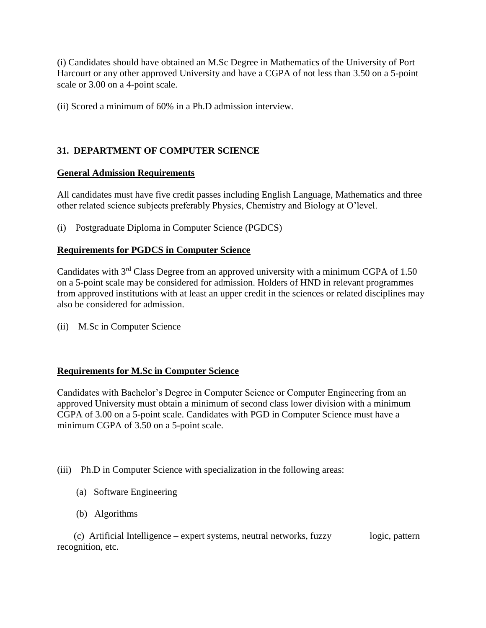(i) Candidates should have obtained an M.Sc Degree in Mathematics of the University of Port Harcourt or any other approved University and have a CGPA of not less than 3.50 on a 5-point scale or 3.00 on a 4-point scale.

(ii) Scored a minimum of 60% in a Ph.D admission interview.

# **31. DEPARTMENT OF COMPUTER SCIENCE**

#### **General Admission Requirements**

All candidates must have five credit passes including English Language, Mathematics and three other related science subjects preferably Physics, Chemistry and Biology at O'level.

(i) Postgraduate Diploma in Computer Science (PGDCS)

#### **Requirements for PGDCS in Computer Science**

Candidates with  $3<sup>rd</sup>$  Class Degree from an approved university with a minimum CGPA of 1.50 on a 5-point scale may be considered for admission. Holders of HND in relevant programmes from approved institutions with at least an upper credit in the sciences or related disciplines may also be considered for admission.

(ii) M.Sc in Computer Science

## **Requirements for M.Sc in Computer Science**

Candidates with Bachelor's Degree in Computer Science or Computer Engineering from an approved University must obtain a minimum of second class lower division with a minimum CGPA of 3.00 on a 5-point scale. Candidates with PGD in Computer Science must have a minimum CGPA of 3.50 on a 5-point scale.

(iii) Ph.D in Computer Science with specialization in the following areas:

- (a) Software Engineering
- (b) Algorithms

 (c) Artificial Intelligence – expert systems, neutral networks, fuzzy logic, pattern recognition, etc.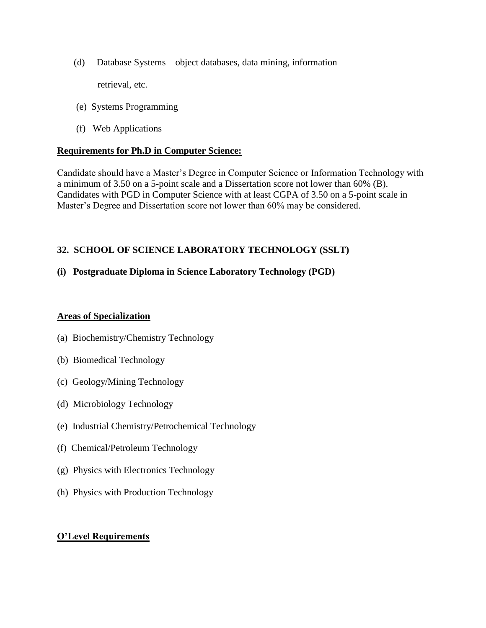(d) Database Systems – object databases, data mining, information

retrieval, etc.

- (e) Systems Programming
- (f) Web Applications

#### **Requirements for Ph.D in Computer Science:**

Candidate should have a Master's Degree in Computer Science or Information Technology with a minimum of 3.50 on a 5-point scale and a Dissertation score not lower than 60% (B). Candidates with PGD in Computer Science with at least CGPA of 3.50 on a 5-point scale in Master's Degree and Dissertation score not lower than 60% may be considered.

## **32. SCHOOL OF SCIENCE LABORATORY TECHNOLOGY (SSLT)**

## **(i) Postgraduate Diploma in Science Laboratory Technology (PGD)**

#### **Areas of Specialization**

- (a) Biochemistry/Chemistry Technology
- (b) Biomedical Technology
- (c) Geology/Mining Technology
- (d) Microbiology Technology
- (e) Industrial Chemistry/Petrochemical Technology
- (f) Chemical/Petroleum Technology
- (g) Physics with Electronics Technology
- (h) Physics with Production Technology

## **O'Level Requirements**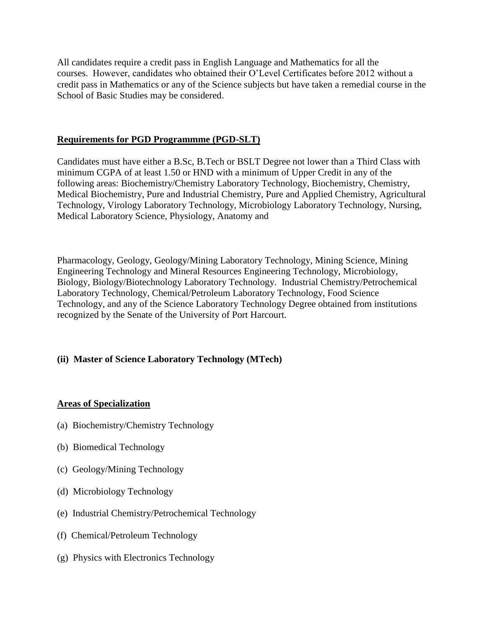All candidates require a credit pass in English Language and Mathematics for all the courses. However, candidates who obtained their O'Level Certificates before 2012 without a credit pass in Mathematics or any of the Science subjects but have taken a remedial course in the School of Basic Studies may be considered.

## **Requirements for PGD Programmme (PGD-SLT)**

Candidates must have either a B.Sc, B.Tech or BSLT Degree not lower than a Third Class with minimum CGPA of at least 1.50 or HND with a minimum of Upper Credit in any of the following areas: Biochemistry/Chemistry Laboratory Technology, Biochemistry, Chemistry, Medical Biochemistry, Pure and Industrial Chemistry, Pure and Applied Chemistry, Agricultural Technology, Virology Laboratory Technology, Microbiology Laboratory Technology, Nursing, Medical Laboratory Science, Physiology, Anatomy and

Pharmacology, Geology, Geology/Mining Laboratory Technology, Mining Science, Mining Engineering Technology and Mineral Resources Engineering Technology, Microbiology, Biology, Biology/Biotechnology Laboratory Technology. Industrial Chemistry/Petrochemical Laboratory Technology, Chemical/Petroleum Laboratory Technology, Food Science Technology, and any of the Science Laboratory Technology Degree obtained from institutions recognized by the Senate of the University of Port Harcourt.

## **(ii) Master of Science Laboratory Technology (MTech)**

## **Areas of Specialization**

- (a) Biochemistry/Chemistry Technology
- (b) Biomedical Technology
- (c) Geology/Mining Technology
- (d) Microbiology Technology
- (e) Industrial Chemistry/Petrochemical Technology
- (f) Chemical/Petroleum Technology
- (g) Physics with Electronics Technology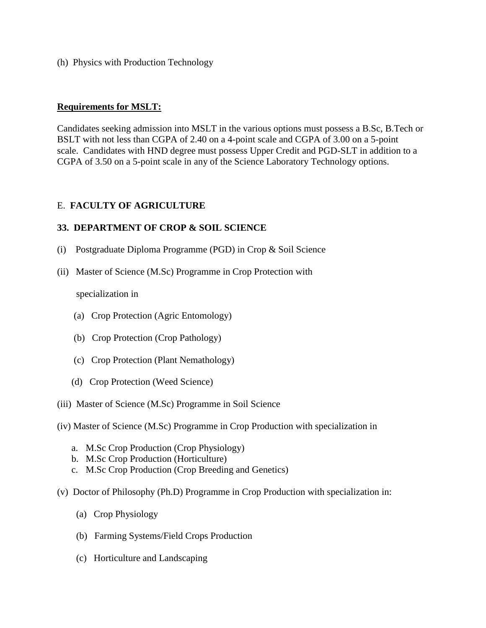(h) Physics with Production Technology

#### **Requirements for MSLT:**

Candidates seeking admission into MSLT in the various options must possess a B.Sc, B.Tech or BSLT with not less than CGPA of 2.40 on a 4-point scale and CGPA of 3.00 on a 5-point scale. Candidates with HND degree must possess Upper Credit and PGD-SLT in addition to a CGPA of 3.50 on a 5-point scale in any of the Science Laboratory Technology options.

#### E. **FACULTY OF AGRICULTURE**

#### **33. DEPARTMENT OF CROP & SOIL SCIENCE**

- (i) Postgraduate Diploma Programme (PGD) in Crop & Soil Science
- (ii) Master of Science (M.Sc) Programme in Crop Protection with

specialization in

- (a) Crop Protection (Agric Entomology)
- (b) Crop Protection (Crop Pathology)
- (c) Crop Protection (Plant Nemathology)
- (d) Crop Protection (Weed Science)
- (iii) Master of Science (M.Sc) Programme in Soil Science
- (iv) Master of Science (M.Sc) Programme in Crop Production with specialization in
	- a. M.Sc Crop Production (Crop Physiology)
	- b. M.Sc Crop Production (Horticulture)
	- c. M.Sc Crop Production (Crop Breeding and Genetics)
- (v) Doctor of Philosophy (Ph.D) Programme in Crop Production with specialization in:
	- (a) Crop Physiology
	- (b) Farming Systems/Field Crops Production
	- (c) Horticulture and Landscaping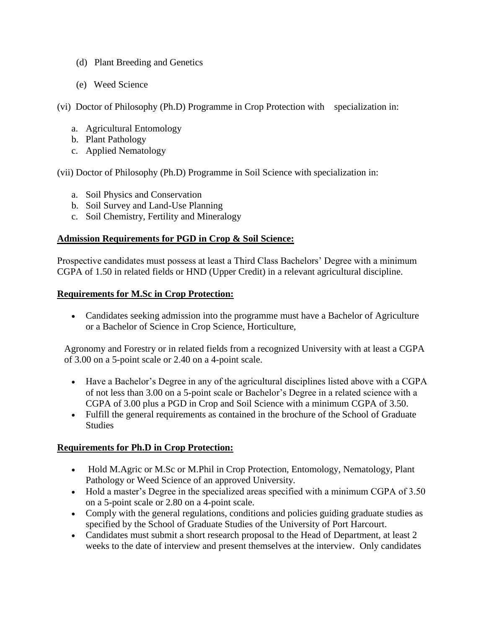- (d) Plant Breeding and Genetics
- (e) Weed Science

(vi) Doctor of Philosophy (Ph.D) Programme in Crop Protection with specialization in:

- a. Agricultural Entomology
- b. Plant Pathology
- c. Applied Nematology

(vii) Doctor of Philosophy (Ph.D) Programme in Soil Science with specialization in:

- a. Soil Physics and Conservation
- b. Soil Survey and Land-Use Planning
- c. Soil Chemistry, Fertility and Mineralogy

#### **Admission Requirements for PGD in Crop & Soil Science:**

Prospective candidates must possess at least a Third Class Bachelors' Degree with a minimum CGPA of 1.50 in related fields or HND (Upper Credit) in a relevant agricultural discipline.

#### **Requirements for M.Sc in Crop Protection:**

 Candidates seeking admission into the programme must have a Bachelor of Agriculture or a Bachelor of Science in Crop Science, Horticulture,

Agronomy and Forestry or in related fields from a recognized University with at least a CGPA of 3.00 on a 5-point scale or 2.40 on a 4-point scale.

- Have a Bachelor's Degree in any of the agricultural disciplines listed above with a CGPA of not less than 3.00 on a 5-point scale or Bachelor's Degree in a related science with a CGPA of 3.00 plus a PGD in Crop and Soil Science with a minimum CGPA of 3.50.
- Fulfill the general requirements as contained in the brochure of the School of Graduate Studies

## **Requirements for Ph.D in Crop Protection:**

- Hold M.Agric or M.Sc or M.Phil in Crop Protection, Entomology, Nematology, Plant Pathology or Weed Science of an approved University.
- Hold a master's Degree in the specialized areas specified with a minimum CGPA of 3.50 on a 5-point scale or 2.80 on a 4-point scale.
- Comply with the general regulations, conditions and policies guiding graduate studies as specified by the School of Graduate Studies of the University of Port Harcourt.
- Candidates must submit a short research proposal to the Head of Department, at least 2 weeks to the date of interview and present themselves at the interview. Only candidates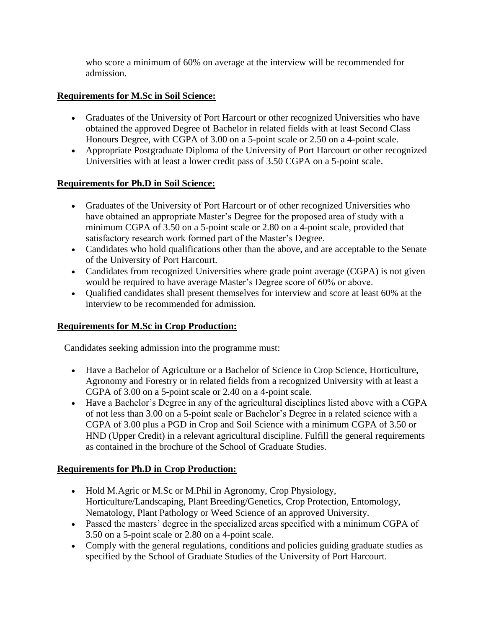who score a minimum of 60% on average at the interview will be recommended for admission.

# **Requirements for M.Sc in Soil Science:**

- Graduates of the University of Port Harcourt or other recognized Universities who have obtained the approved Degree of Bachelor in related fields with at least Second Class Honours Degree, with CGPA of 3.00 on a 5-point scale or 2.50 on a 4-point scale.
- Appropriate Postgraduate Diploma of the University of Port Harcourt or other recognized Universities with at least a lower credit pass of 3.50 CGPA on a 5-point scale.

## **Requirements for Ph.D in Soil Science:**

- Graduates of the University of Port Harcourt or of other recognized Universities who have obtained an appropriate Master's Degree for the proposed area of study with a minimum CGPA of 3.50 on a 5-point scale or 2.80 on a 4-point scale, provided that satisfactory research work formed part of the Master's Degree.
- Candidates who hold qualifications other than the above, and are acceptable to the Senate of the University of Port Harcourt.
- Candidates from recognized Universities where grade point average (CGPA) is not given would be required to have average Master's Degree score of 60% or above.
- Qualified candidates shall present themselves for interview and score at least 60% at the interview to be recommended for admission.

## **Requirements for M.Sc in Crop Production:**

Candidates seeking admission into the programme must:

- Have a Bachelor of Agriculture or a Bachelor of Science in Crop Science, Horticulture, Agronomy and Forestry or in related fields from a recognized University with at least a CGPA of 3.00 on a 5-point scale or 2.40 on a 4-point scale.
- Have a Bachelor's Degree in any of the agricultural disciplines listed above with a CGPA of not less than 3.00 on a 5-point scale or Bachelor's Degree in a related science with a CGPA of 3.00 plus a PGD in Crop and Soil Science with a minimum CGPA of 3.50 or HND (Upper Credit) in a relevant agricultural discipline. Fulfill the general requirements as contained in the brochure of the School of Graduate Studies.

## **Requirements for Ph.D in Crop Production:**

- Hold M.Agric or M.Sc or M.Phil in Agronomy, Crop Physiology, Horticulture/Landscaping, Plant Breeding/Genetics, Crop Protection, Entomology, Nematology, Plant Pathology or Weed Science of an approved University.
- Passed the masters' degree in the specialized areas specified with a minimum CGPA of 3.50 on a 5-point scale or 2.80 on a 4-point scale.
- Comply with the general regulations, conditions and policies guiding graduate studies as specified by the School of Graduate Studies of the University of Port Harcourt.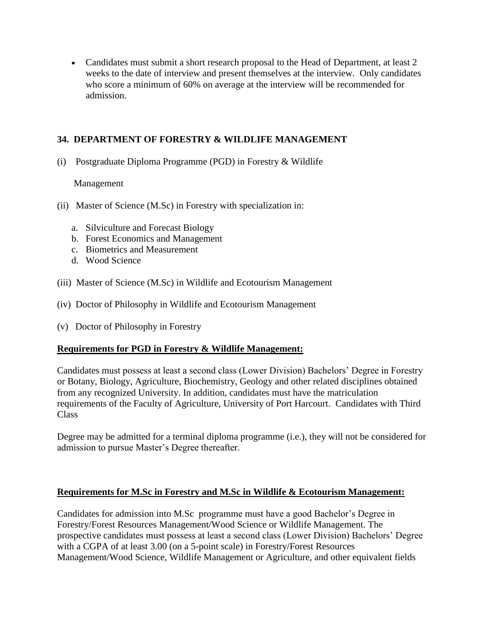• Candidates must submit a short research proposal to the Head of Department, at least 2 weeks to the date of interview and present themselves at the interview. Only candidates who score a minimum of 60% on average at the interview will be recommended for admission.

## **34. DEPARTMENT OF FORESTRY & WILDLIFE MANAGEMENT**

(i) Postgraduate Diploma Programme (PGD) in Forestry & Wildlife

#### Management

- (ii) Master of Science (M.Sc) in Forestry with specialization in:
	- a. Silviculture and Forecast Biology
	- b. Forest Economics and Management
	- c. Biometrics and Measurement
	- d. Wood Science
- (iii) Master of Science (M.Sc) in Wildlife and Ecotourism Management
- (iv) Doctor of Philosophy in Wildlife and Ecotourism Management
- (v) Doctor of Philosophy in Forestry

## **Requirements for PGD in Forestry & Wildlife Management:**

Candidates must possess at least a second class (Lower Division) Bachelors' Degree in Forestry or Botany, Biology, Agriculture, Biochemistry, Geology and other related disciplines obtained from any recognized University. In addition, candidates must have the matriculation requirements of the Faculty of Agriculture, University of Port Harcourt. Candidates with Third Class

Degree may be admitted for a terminal diploma programme (i.e.), they will not be considered for admission to pursue Master's Degree thereafter.

## **Requirements for M.Sc in Forestry and M.Sc in Wildlife & Ecotourism Management:**

Candidates for admission into M.Sc programme must have a good Bachelor's Degree in Forestry/Forest Resources Management/Wood Science or Wildlife Management. The prospective candidates must possess at least a second class (Lower Division) Bachelors' Degree with a CGPA of at least 3.00 (on a 5-point scale) in Forestry/Forest Resources Management/Wood Science, Wildlife Management or Agriculture, and other equivalent fields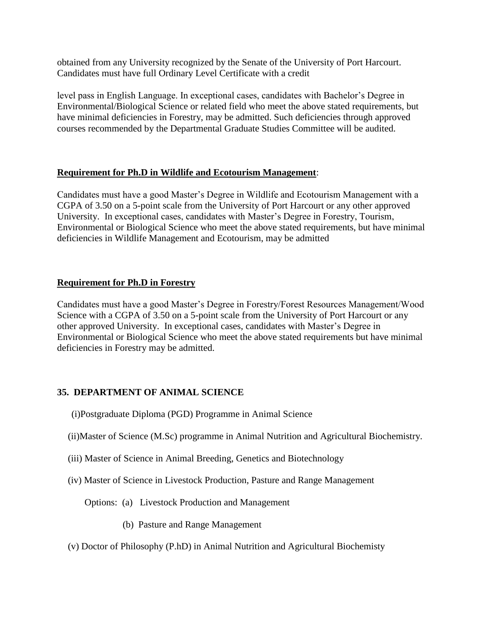obtained from any University recognized by the Senate of the University of Port Harcourt. Candidates must have full Ordinary Level Certificate with a credit

level pass in English Language. In exceptional cases, candidates with Bachelor's Degree in Environmental/Biological Science or related field who meet the above stated requirements, but have minimal deficiencies in Forestry, may be admitted. Such deficiencies through approved courses recommended by the Departmental Graduate Studies Committee will be audited.

## **Requirement for Ph.D in Wildlife and Ecotourism Management**:

Candidates must have a good Master's Degree in Wildlife and Ecotourism Management with a CGPA of 3.50 on a 5-point scale from the University of Port Harcourt or any other approved University. In exceptional cases, candidates with Master's Degree in Forestry, Tourism, Environmental or Biological Science who meet the above stated requirements, but have minimal deficiencies in Wildlife Management and Ecotourism, may be admitted

## **Requirement for Ph.D in Forestry**

Candidates must have a good Master's Degree in Forestry/Forest Resources Management/Wood Science with a CGPA of 3.50 on a 5-point scale from the University of Port Harcourt or any other approved University. In exceptional cases, candidates with Master's Degree in Environmental or Biological Science who meet the above stated requirements but have minimal deficiencies in Forestry may be admitted.

# **35. DEPARTMENT OF ANIMAL SCIENCE**

- (i)Postgraduate Diploma (PGD) Programme in Animal Science
- (ii)Master of Science (M.Sc) programme in Animal Nutrition and Agricultural Biochemistry.
- (iii) Master of Science in Animal Breeding, Genetics and Biotechnology
- (iv) Master of Science in Livestock Production, Pasture and Range Management

Options: (a) Livestock Production and Management

- (b) Pasture and Range Management
- (v) Doctor of Philosophy (P.hD) in Animal Nutrition and Agricultural Biochemisty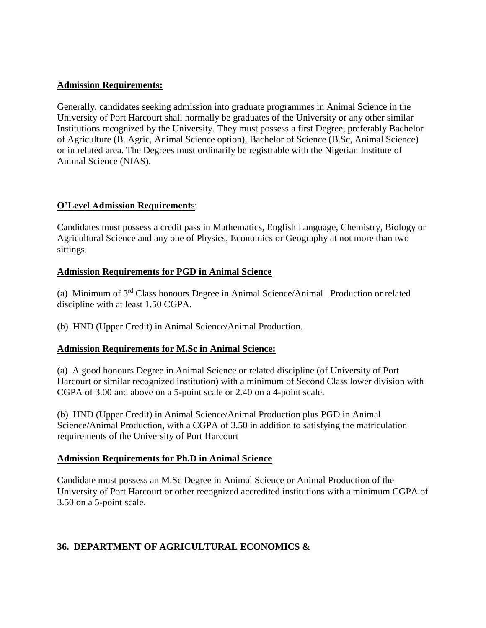#### **Admission Requirements:**

Generally, candidates seeking admission into graduate programmes in Animal Science in the University of Port Harcourt shall normally be graduates of the University or any other similar Institutions recognized by the University. They must possess a first Degree, preferably Bachelor of Agriculture (B. Agric, Animal Science option), Bachelor of Science (B.Sc, Animal Science) or in related area. The Degrees must ordinarily be registrable with the Nigerian Institute of Animal Science (NIAS).

## **O'Level Admission Requirement**s:

Candidates must possess a credit pass in Mathematics, English Language, Chemistry, Biology or Agricultural Science and any one of Physics, Economics or Geography at not more than two sittings.

#### **Admission Requirements for PGD in Animal Science**

(a) Minimum of 3rd Class honours Degree in Animal Science/Animal Production or related discipline with at least 1.50 CGPA.

(b) HND (Upper Credit) in Animal Science/Animal Production.

## **Admission Requirements for M.Sc in Animal Science:**

(a) A good honours Degree in Animal Science or related discipline (of University of Port Harcourt or similar recognized institution) with a minimum of Second Class lower division with CGPA of 3.00 and above on a 5-point scale or 2.40 on a 4-point scale.

(b) HND (Upper Credit) in Animal Science/Animal Production plus PGD in Animal Science/Animal Production, with a CGPA of 3.50 in addition to satisfying the matriculation requirements of the University of Port Harcourt

#### **Admission Requirements for Ph.D in Animal Science**

Candidate must possess an M.Sc Degree in Animal Science or Animal Production of the University of Port Harcourt or other recognized accredited institutions with a minimum CGPA of 3.50 on a 5-point scale.

## **36. DEPARTMENT OF AGRICULTURAL ECONOMICS &**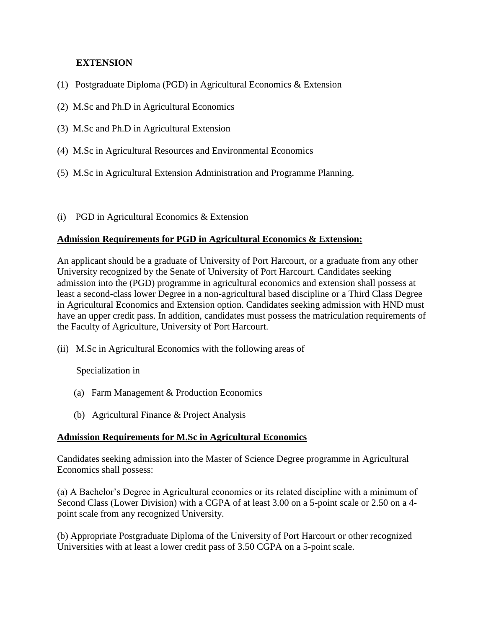## **EXTENSION**

- (1) Postgraduate Diploma (PGD) in Agricultural Economics & Extension
- (2) M.Sc and Ph.D in Agricultural Economics
- (3) M.Sc and Ph.D in Agricultural Extension
- (4) M.Sc in Agricultural Resources and Environmental Economics
- (5) M.Sc in Agricultural Extension Administration and Programme Planning.
- (i) PGD in Agricultural Economics & Extension

## **Admission Requirements for PGD in Agricultural Economics & Extension:**

An applicant should be a graduate of University of Port Harcourt, or a graduate from any other University recognized by the Senate of University of Port Harcourt. Candidates seeking admission into the (PGD) programme in agricultural economics and extension shall possess at least a second-class lower Degree in a non-agricultural based discipline or a Third Class Degree in Agricultural Economics and Extension option. Candidates seeking admission with HND must have an upper credit pass. In addition, candidates must possess the matriculation requirements of the Faculty of Agriculture, University of Port Harcourt.

(ii) M.Sc in Agricultural Economics with the following areas of

Specialization in

- (a) Farm Management & Production Economics
- (b) Agricultural Finance & Project Analysis

## **Admission Requirements for M.Sc in Agricultural Economics**

Candidates seeking admission into the Master of Science Degree programme in Agricultural Economics shall possess:

(a) A Bachelor's Degree in Agricultural economics or its related discipline with a minimum of Second Class (Lower Division) with a CGPA of at least 3.00 on a 5-point scale or 2.50 on a 4 point scale from any recognized University.

(b) Appropriate Postgraduate Diploma of the University of Port Harcourt or other recognized Universities with at least a lower credit pass of 3.50 CGPA on a 5-point scale.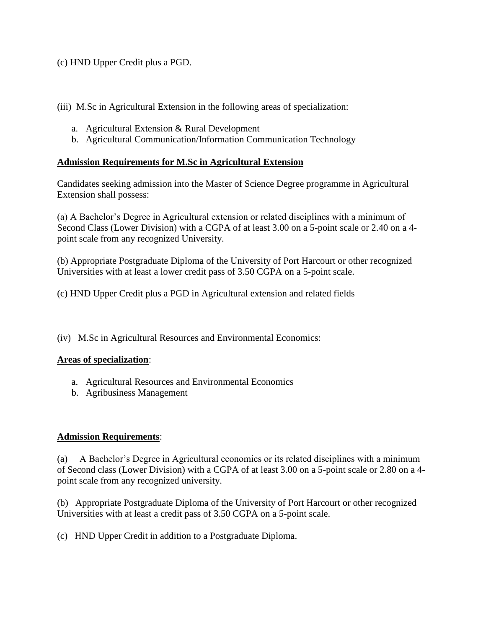(c) HND Upper Credit plus a PGD.

(iii) M.Sc in Agricultural Extension in the following areas of specialization:

- a. Agricultural Extension & Rural Development
- b. Agricultural Communication/Information Communication Technology

## **Admission Requirements for M.Sc in Agricultural Extension**

Candidates seeking admission into the Master of Science Degree programme in Agricultural Extension shall possess:

(a) A Bachelor's Degree in Agricultural extension or related disciplines with a minimum of Second Class (Lower Division) with a CGPA of at least 3.00 on a 5-point scale or 2.40 on a 4 point scale from any recognized University.

(b) Appropriate Postgraduate Diploma of the University of Port Harcourt or other recognized Universities with at least a lower credit pass of 3.50 CGPA on a 5-point scale.

(c) HND Upper Credit plus a PGD in Agricultural extension and related fields

(iv) M.Sc in Agricultural Resources and Environmental Economics:

## **Areas of specialization**:

- a. Agricultural Resources and Environmental Economics
- b. Agribusiness Management

# **Admission Requirements**:

(a) A Bachelor's Degree in Agricultural economics or its related disciplines with a minimum of Second class (Lower Division) with a CGPA of at least 3.00 on a 5-point scale or 2.80 on a 4 point scale from any recognized university.

(b) Appropriate Postgraduate Diploma of the University of Port Harcourt or other recognized Universities with at least a credit pass of 3.50 CGPA on a 5-point scale.

(c) HND Upper Credit in addition to a Postgraduate Diploma.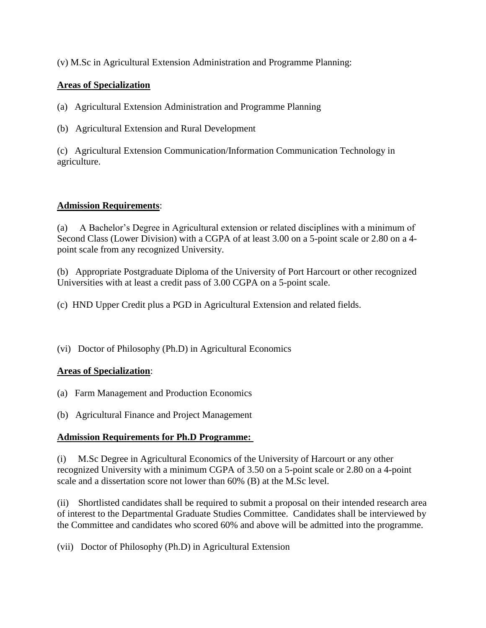(v) M.Sc in Agricultural Extension Administration and Programme Planning:

# **Areas of Specialization**

(a) Agricultural Extension Administration and Programme Planning

(b) Agricultural Extension and Rural Development

(c) Agricultural Extension Communication/Information Communication Technology in agriculture.

## **Admission Requirements**:

(a) A Bachelor's Degree in Agricultural extension or related disciplines with a minimum of Second Class (Lower Division) with a CGPA of at least 3.00 on a 5-point scale or 2.80 on a 4 point scale from any recognized University.

(b) Appropriate Postgraduate Diploma of the University of Port Harcourt or other recognized Universities with at least a credit pass of 3.00 CGPA on a 5-point scale.

(c) HND Upper Credit plus a PGD in Agricultural Extension and related fields.

(vi) Doctor of Philosophy (Ph.D) in Agricultural Economics

# **Areas of Specialization**:

(a) Farm Management and Production Economics

(b) Agricultural Finance and Project Management

## **Admission Requirements for Ph.D Programme:**

(i) M.Sc Degree in Agricultural Economics of the University of Harcourt or any other recognized University with a minimum CGPA of 3.50 on a 5-point scale or 2.80 on a 4-point scale and a dissertation score not lower than 60% (B) at the M.Sc level.

(ii) Shortlisted candidates shall be required to submit a proposal on their intended research area of interest to the Departmental Graduate Studies Committee. Candidates shall be interviewed by the Committee and candidates who scored 60% and above will be admitted into the programme.

(vii) Doctor of Philosophy (Ph.D) in Agricultural Extension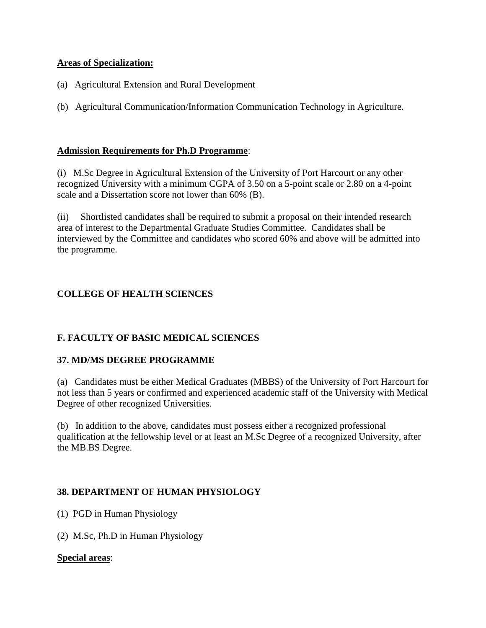## **Areas of Specialization:**

- (a) Agricultural Extension and Rural Development
- (b) Agricultural Communication/Information Communication Technology in Agriculture.

## **Admission Requirements for Ph.D Programme**:

(i) M.Sc Degree in Agricultural Extension of the University of Port Harcourt or any other recognized University with a minimum CGPA of 3.50 on a 5-point scale or 2.80 on a 4-point scale and a Dissertation score not lower than 60% (B).

(ii) Shortlisted candidates shall be required to submit a proposal on their intended research area of interest to the Departmental Graduate Studies Committee. Candidates shall be interviewed by the Committee and candidates who scored 60% and above will be admitted into the programme.

# **COLLEGE OF HEALTH SCIENCES**

# **F. FACULTY OF BASIC MEDICAL SCIENCES**

# **37. MD/MS DEGREE PROGRAMME**

(a) Candidates must be either Medical Graduates (MBBS) of the University of Port Harcourt for not less than 5 years or confirmed and experienced academic staff of the University with Medical Degree of other recognized Universities.

(b) In addition to the above, candidates must possess either a recognized professional qualification at the fellowship level or at least an M.Sc Degree of a recognized University, after the MB.BS Degree.

# **38. DEPARTMENT OF HUMAN PHYSIOLOGY**

(1) PGD in Human Physiology

(2) M.Sc, Ph.D in Human Physiology

## **Special areas**: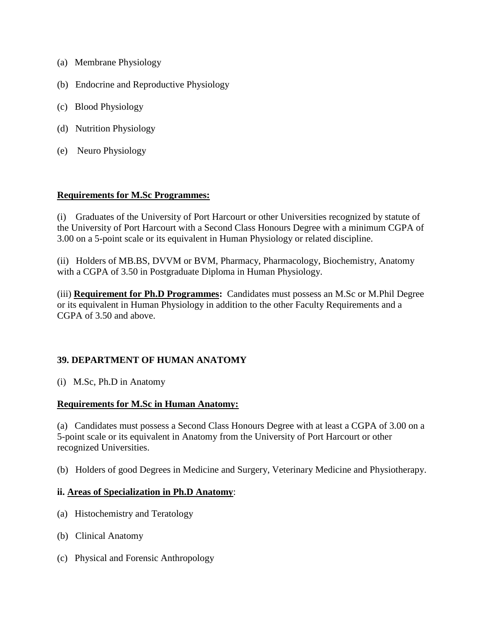- (a) Membrane Physiology
- (b) Endocrine and Reproductive Physiology
- (c) Blood Physiology
- (d) Nutrition Physiology
- (e) Neuro Physiology

#### **Requirements for M.Sc Programmes:**

(i) Graduates of the University of Port Harcourt or other Universities recognized by statute of the University of Port Harcourt with a Second Class Honours Degree with a minimum CGPA of 3.00 on a 5-point scale or its equivalent in Human Physiology or related discipline.

(ii) Holders of MB.BS, DVVM or BVM, Pharmacy, Pharmacology, Biochemistry, Anatomy with a CGPA of 3.50 in Postgraduate Diploma in Human Physiology.

(iii) **Requirement for Ph.D Programmes:** Candidates must possess an M.Sc or M.Phil Degree or its equivalent in Human Physiology in addition to the other Faculty Requirements and a CGPA of 3.50 and above.

## **39. DEPARTMENT OF HUMAN ANATOMY**

(i) M.Sc, Ph.D in Anatomy

## **Requirements for M.Sc in Human Anatomy:**

(a) Candidates must possess a Second Class Honours Degree with at least a CGPA of 3.00 on a 5-point scale or its equivalent in Anatomy from the University of Port Harcourt or other recognized Universities.

(b) Holders of good Degrees in Medicine and Surgery, Veterinary Medicine and Physiotherapy.

#### **ii. Areas of Specialization in Ph.D Anatomy**:

- (a) Histochemistry and Teratology
- (b) Clinical Anatomy
- (c) Physical and Forensic Anthropology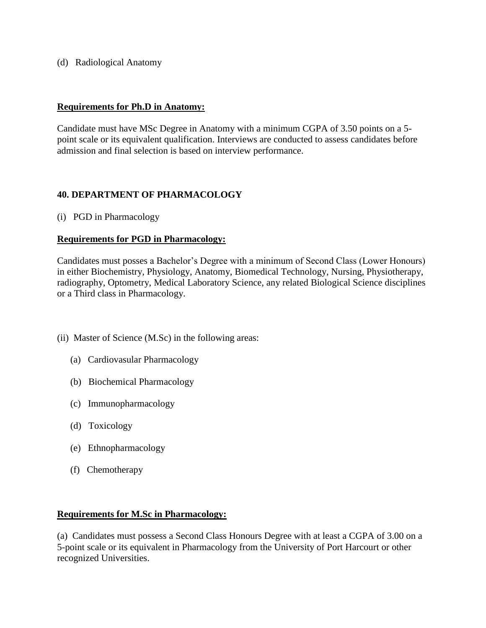(d) Radiological Anatomy

#### **Requirements for Ph.D in Anatomy:**

Candidate must have MSc Degree in Anatomy with a minimum CGPA of 3.50 points on a 5 point scale or its equivalent qualification. Interviews are conducted to assess candidates before admission and final selection is based on interview performance.

#### **40. DEPARTMENT OF PHARMACOLOGY**

(i) PGD in Pharmacology

#### **Requirements for PGD in Pharmacology:**

Candidates must posses a Bachelor's Degree with a minimum of Second Class (Lower Honours) in either Biochemistry, Physiology, Anatomy, Biomedical Technology, Nursing, Physiotherapy, radiography, Optometry, Medical Laboratory Science, any related Biological Science disciplines or a Third class in Pharmacology.

- (ii) Master of Science (M.Sc) in the following areas:
	- (a) Cardiovasular Pharmacology
	- (b) Biochemical Pharmacology
	- (c) Immunopharmacology
	- (d) Toxicology
	- (e) Ethnopharmacology
	- (f) Chemotherapy

#### **Requirements for M.Sc in Pharmacology:**

(a) Candidates must possess a Second Class Honours Degree with at least a CGPA of 3.00 on a 5-point scale or its equivalent in Pharmacology from the University of Port Harcourt or other recognized Universities.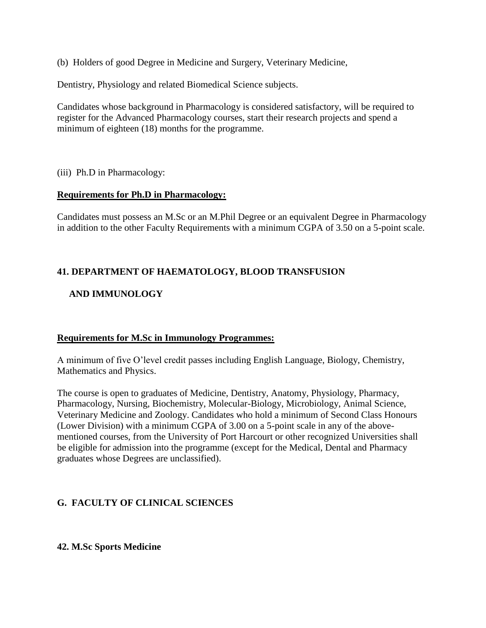(b) Holders of good Degree in Medicine and Surgery, Veterinary Medicine,

Dentistry, Physiology and related Biomedical Science subjects.

Candidates whose background in Pharmacology is considered satisfactory, will be required to register for the Advanced Pharmacology courses, start their research projects and spend a minimum of eighteen (18) months for the programme.

(iii) Ph.D in Pharmacology:

#### **Requirements for Ph.D in Pharmacology:**

Candidates must possess an M.Sc or an M.Phil Degree or an equivalent Degree in Pharmacology in addition to the other Faculty Requirements with a minimum CGPA of 3.50 on a 5-point scale.

## **41. DEPARTMENT OF HAEMATOLOGY, BLOOD TRANSFUSION**

## **AND IMMUNOLOGY**

## **Requirements for M.Sc in Immunology Programmes:**

A minimum of five O'level credit passes including English Language, Biology, Chemistry, Mathematics and Physics.

The course is open to graduates of Medicine, Dentistry, Anatomy, Physiology, Pharmacy, Pharmacology, Nursing, Biochemistry, Molecular-Biology, Microbiology, Animal Science, Veterinary Medicine and Zoology. Candidates who hold a minimum of Second Class Honours (Lower Division) with a minimum CGPA of 3.00 on a 5-point scale in any of the abovementioned courses, from the University of Port Harcourt or other recognized Universities shall be eligible for admission into the programme (except for the Medical, Dental and Pharmacy graduates whose Degrees are unclassified).

## **G. FACULTY OF CLINICAL SCIENCES**

#### **42. M.Sc Sports Medicine**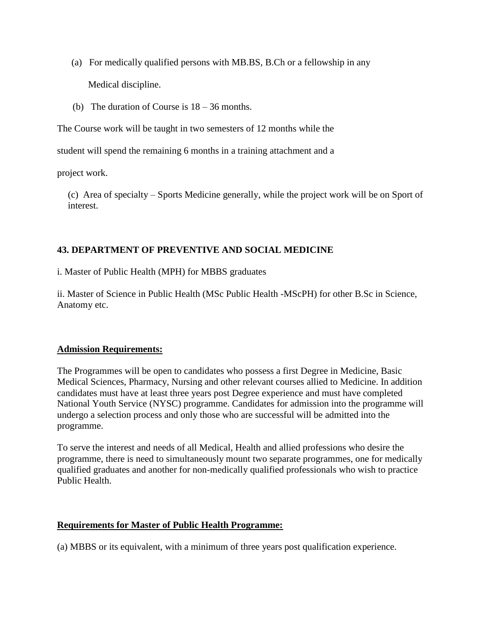(a) For medically qualified persons with MB.BS, B.Ch or a fellowship in any

Medical discipline.

(b) The duration of Course is 18 – 36 months.

The Course work will be taught in two semesters of 12 months while the

student will spend the remaining 6 months in a training attachment and a

project work.

(c) Area of specialty – Sports Medicine generally, while the project work will be on Sport of interest.

## **43. DEPARTMENT OF PREVENTIVE AND SOCIAL MEDICINE**

i. Master of Public Health (MPH) for MBBS graduates

ii. Master of Science in Public Health (MSc Public Health -MScPH) for other B.Sc in Science, Anatomy etc.

## **Admission Requirements:**

The Programmes will be open to candidates who possess a first Degree in Medicine, Basic Medical Sciences, Pharmacy, Nursing and other relevant courses allied to Medicine. In addition candidates must have at least three years post Degree experience and must have completed National Youth Service (NYSC) programme. Candidates for admission into the programme will undergo a selection process and only those who are successful will be admitted into the programme.

To serve the interest and needs of all Medical, Health and allied professions who desire the programme, there is need to simultaneously mount two separate programmes, one for medically qualified graduates and another for non-medically qualified professionals who wish to practice Public Health.

## **Requirements for Master of Public Health Programme:**

(a) MBBS or its equivalent, with a minimum of three years post qualification experience.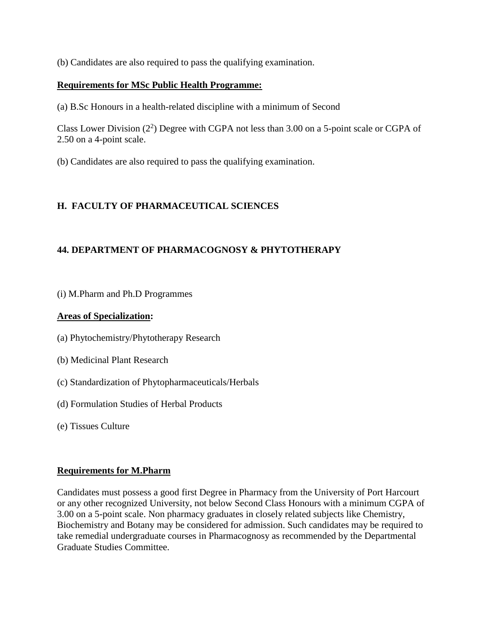(b) Candidates are also required to pass the qualifying examination.

#### **Requirements for MSc Public Health Programme:**

(a) B.Sc Honours in a health-related discipline with a minimum of Second

Class Lower Division  $(2^2)$  Degree with CGPA not less than 3.00 on a 5-point scale or CGPA of 2.50 on a 4-point scale.

(b) Candidates are also required to pass the qualifying examination.

## **H. FACULTY OF PHARMACEUTICAL SCIENCES**

## **44. DEPARTMENT OF PHARMACOGNOSY & PHYTOTHERAPY**

(i) M.Pharm and Ph.D Programmes

#### **Areas of Specialization:**

- (a) Phytochemistry/Phytotherapy Research
- (b) Medicinal Plant Research
- (c) Standardization of Phytopharmaceuticals/Herbals
- (d) Formulation Studies of Herbal Products
- (e) Tissues Culture

#### **Requirements for M.Pharm**

Candidates must possess a good first Degree in Pharmacy from the University of Port Harcourt or any other recognized University, not below Second Class Honours with a minimum CGPA of 3.00 on a 5-point scale. Non pharmacy graduates in closely related subjects like Chemistry, Biochemistry and Botany may be considered for admission. Such candidates may be required to take remedial undergraduate courses in Pharmacognosy as recommended by the Departmental Graduate Studies Committee.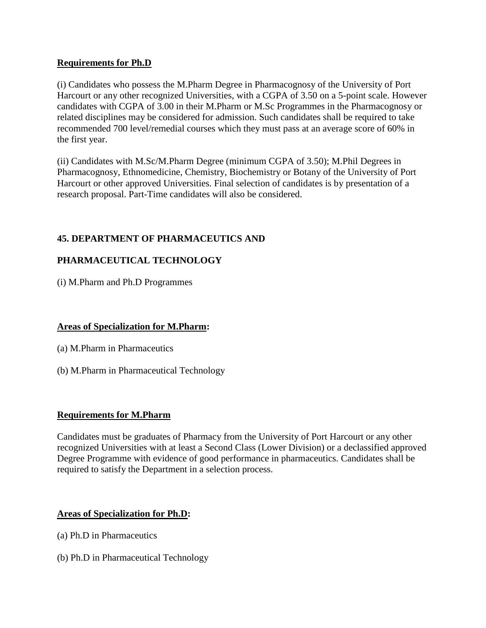## **Requirements for Ph.D**

(i) Candidates who possess the M.Pharm Degree in Pharmacognosy of the University of Port Harcourt or any other recognized Universities, with a CGPA of 3.50 on a 5-point scale. However candidates with CGPA of 3.00 in their M.Pharm or M.Sc Programmes in the Pharmacognosy or related disciplines may be considered for admission. Such candidates shall be required to take recommended 700 level/remedial courses which they must pass at an average score of 60% in the first year.

(ii) Candidates with M.Sc/M.Pharm Degree (minimum CGPA of 3.50); M.Phil Degrees in Pharmacognosy, Ethnomedicine, Chemistry, Biochemistry or Botany of the University of Port Harcourt or other approved Universities. Final selection of candidates is by presentation of a research proposal. Part-Time candidates will also be considered.

# **45. DEPARTMENT OF PHARMACEUTICS AND**

# **PHARMACEUTICAL TECHNOLOGY**

(i) M.Pharm and Ph.D Programmes

## **Areas of Specialization for M.Pharm:**

- (a) M.Pharm in Pharmaceutics
- (b) M.Pharm in Pharmaceutical Technology

## **Requirements for M.Pharm**

Candidates must be graduates of Pharmacy from the University of Port Harcourt or any other recognized Universities with at least a Second Class (Lower Division) or a declassified approved Degree Programme with evidence of good performance in pharmaceutics. Candidates shall be required to satisfy the Department in a selection process.

## **Areas of Specialization for Ph.D:**

- (a) Ph.D in Pharmaceutics
- (b) Ph.D in Pharmaceutical Technology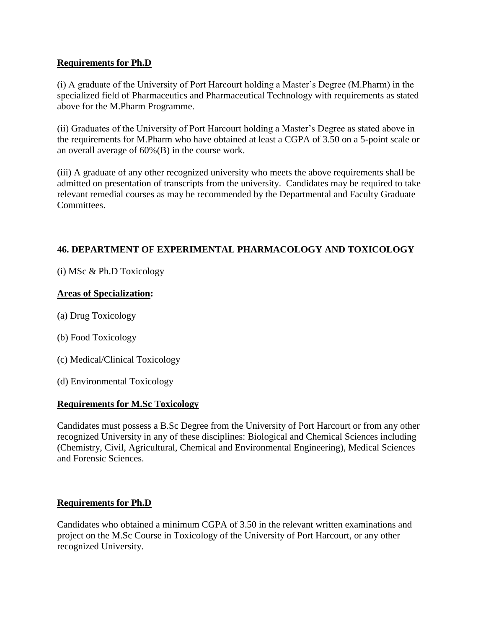## **Requirements for Ph.D**

(i) A graduate of the University of Port Harcourt holding a Master's Degree (M.Pharm) in the specialized field of Pharmaceutics and Pharmaceutical Technology with requirements as stated above for the M.Pharm Programme.

(ii) Graduates of the University of Port Harcourt holding a Master's Degree as stated above in the requirements for M.Pharm who have obtained at least a CGPA of 3.50 on a 5-point scale or an overall average of 60%(B) in the course work.

(iii) A graduate of any other recognized university who meets the above requirements shall be admitted on presentation of transcripts from the university. Candidates may be required to take relevant remedial courses as may be recommended by the Departmental and Faculty Graduate Committees.

## **46. DEPARTMENT OF EXPERIMENTAL PHARMACOLOGY AND TOXICOLOGY**

(i) MSc & Ph.D Toxicology

## **Areas of Specialization:**

- (a) Drug Toxicology
- (b) Food Toxicology
- (c) Medical/Clinical Toxicology
- (d) Environmental Toxicology

## **Requirements for M.Sc Toxicology**

Candidates must possess a B.Sc Degree from the University of Port Harcourt or from any other recognized University in any of these disciplines: Biological and Chemical Sciences including (Chemistry, Civil, Agricultural, Chemical and Environmental Engineering), Medical Sciences and Forensic Sciences.

## **Requirements for Ph.D**

Candidates who obtained a minimum CGPA of 3.50 in the relevant written examinations and project on the M.Sc Course in Toxicology of the University of Port Harcourt, or any other recognized University.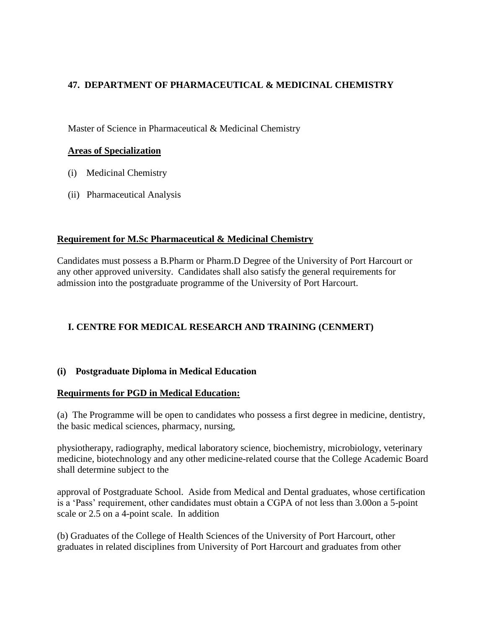# **47. DEPARTMENT OF PHARMACEUTICAL & MEDICINAL CHEMISTRY**

Master of Science in Pharmaceutical & Medicinal Chemistry

#### **Areas of Specialization**

- (i) Medicinal Chemistry
- (ii) Pharmaceutical Analysis

## **Requirement for M.Sc Pharmaceutical & Medicinal Chemistry**

Candidates must possess a B.Pharm or Pharm.D Degree of the University of Port Harcourt or any other approved university. Candidates shall also satisfy the general requirements for admission into the postgraduate programme of the University of Port Harcourt.

# **I. CENTRE FOR MEDICAL RESEARCH AND TRAINING (CENMERT)**

## **(i) Postgraduate Diploma in Medical Education**

## **Requirments for PGD in Medical Education:**

(a) The Programme will be open to candidates who possess a first degree in medicine, dentistry, the basic medical sciences, pharmacy, nursing,

physiotherapy, radiography, medical laboratory science, biochemistry, microbiology, veterinary medicine, biotechnology and any other medicine-related course that the College Academic Board shall determine subject to the

approval of Postgraduate School. Aside from Medical and Dental graduates, whose certification is a 'Pass' requirement, other candidates must obtain a CGPA of not less than 3.00on a 5-point scale or 2.5 on a 4-point scale. In addition

(b) Graduates of the College of Health Sciences of the University of Port Harcourt, other graduates in related disciplines from University of Port Harcourt and graduates from other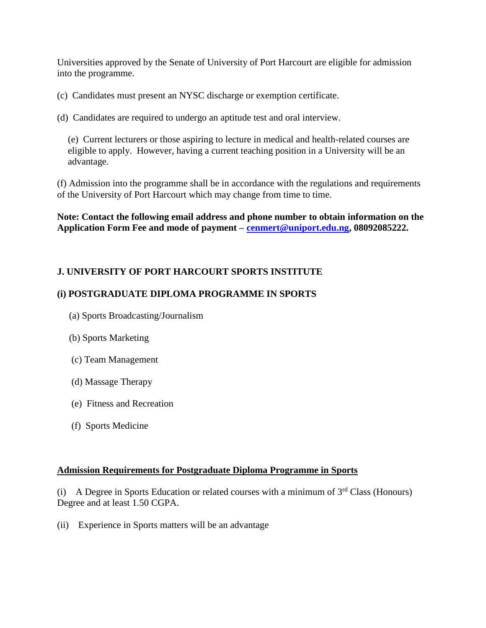Universities approved by the Senate of University of Port Harcourt are eligible for admission into the programme.

(c) Candidates must present an NYSC discharge or exemption certificate.

(d) Candidates are required to undergo an aptitude test and oral interview.

(e) Current lecturers or those aspiring to lecture in medical and health-related courses are eligible to apply. However, having a current teaching position in a University will be an advantage.

(f) Admission into the programme shall be in accordance with the regulations and requirements of the University of Port Harcourt which may change from time to time.

**Note: Contact the following email address and phone number to obtain information on the Application Form Fee and mode of payment – [cenmert@uniport.edu.ng,](mailto:cenmert@uniport.edu.ng) 08092085222.**

## **J. UNIVERSITY OF PORT HARCOURT SPORTS INSTITUTE**

## **(i) POSTGRADUATE DIPLOMA PROGRAMME IN SPORTS**

- (a) Sports Broadcasting/Journalism
- (b) Sports Marketing
- (c) Team Management
- (d) Massage Therapy
- (e) Fitness and Recreation
- (f) Sports Medicine

#### **Admission Requirements for Postgraduate Diploma Programme in Sports**

(i) A Degree in Sports Education or related courses with a minimum of  $3<sup>rd</sup>$  Class (Honours) Degree and at least 1.50 CGPA.

(ii) Experience in Sports matters will be an advantage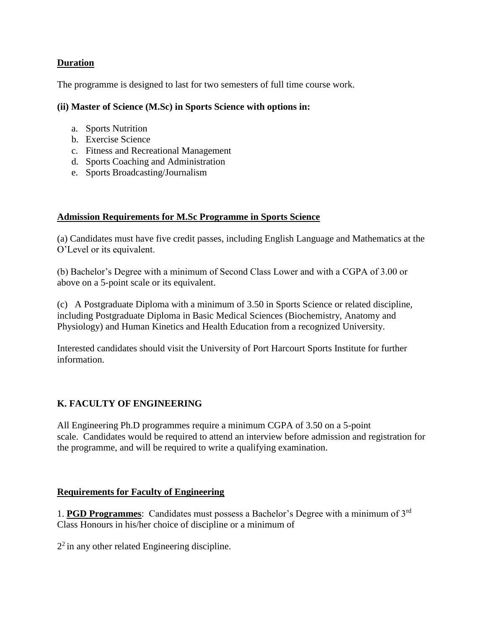## **Duration**

The programme is designed to last for two semesters of full time course work.

#### **(ii) Master of Science (M.Sc) in Sports Science with options in:**

- a. Sports Nutrition
- b. Exercise Science
- c. Fitness and Recreational Management
- d. Sports Coaching and Administration
- e. Sports Broadcasting/Journalism

#### **Admission Requirements for M.Sc Programme in Sports Science**

(a) Candidates must have five credit passes, including English Language and Mathematics at the O'Level or its equivalent.

(b) Bachelor's Degree with a minimum of Second Class Lower and with a CGPA of 3.00 or above on a 5-point scale or its equivalent.

(c) A Postgraduate Diploma with a minimum of 3.50 in Sports Science or related discipline, including Postgraduate Diploma in Basic Medical Sciences (Biochemistry, Anatomy and Physiology) and Human Kinetics and Health Education from a recognized University.

Interested candidates should visit the University of Port Harcourt Sports Institute for further information.

# **K. FACULTY OF ENGINEERING**

All Engineering Ph.D programmes require a minimum CGPA of 3.50 on a 5-point scale. Candidates would be required to attend an interview before admission and registration for the programme, and will be required to write a qualifying examination.

## **Requirements for Faculty of Engineering**

1. **PGD Programmes**: Candidates must possess a Bachelor's Degree with a minimum of 3rd Class Honours in his/her choice of discipline or a minimum of

 $2<sup>2</sup>$  in any other related Engineering discipline.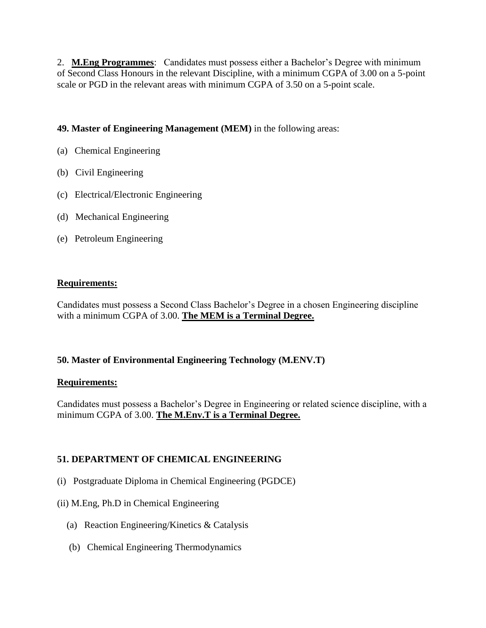2. **M.Eng Programmes**: Candidates must possess either a Bachelor's Degree with minimum of Second Class Honours in the relevant Discipline, with a minimum CGPA of 3.00 on a 5-point scale or PGD in the relevant areas with minimum CGPA of 3.50 on a 5-point scale.

## **49. Master of Engineering Management (MEM)** in the following areas:

- (a) Chemical Engineering
- (b) Civil Engineering
- (c) Electrical/Electronic Engineering
- (d) Mechanical Engineering
- (e) Petroleum Engineering

## **Requirements:**

Candidates must possess a Second Class Bachelor's Degree in a chosen Engineering discipline with a minimum CGPA of 3.00. **The MEM is a Terminal Degree.**

## **50. Master of Environmental Engineering Technology (M.ENV.T)**

## **Requirements:**

Candidates must possess a Bachelor's Degree in Engineering or related science discipline, with a minimum CGPA of 3.00. **The M.Env.T is a Terminal Degree.**

## **51. DEPARTMENT OF CHEMICAL ENGINEERING**

- (i) Postgraduate Diploma in Chemical Engineering (PGDCE)
- (ii) M.Eng, Ph.D in Chemical Engineering
	- (a) Reaction Engineering/Kinetics & Catalysis
	- (b) Chemical Engineering Thermodynamics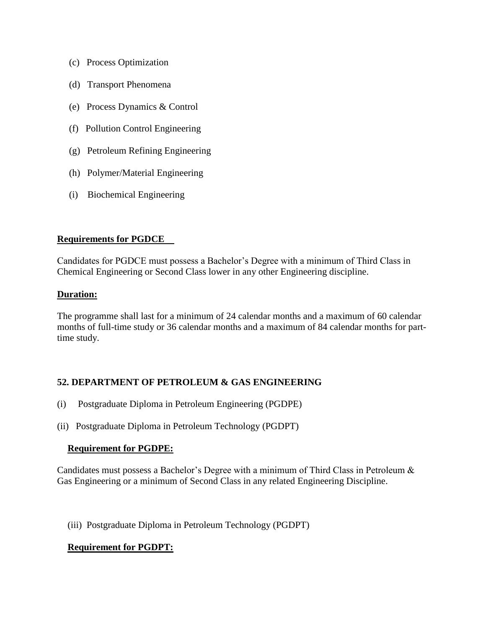- (c) Process Optimization
- (d) Transport Phenomena
- (e) Process Dynamics & Control
- (f) Pollution Control Engineering
- (g) Petroleum Refining Engineering
- (h) Polymer/Material Engineering
- (i) Biochemical Engineering

#### **Requirements for PGDCE**

Candidates for PGDCE must possess a Bachelor's Degree with a minimum of Third Class in Chemical Engineering or Second Class lower in any other Engineering discipline.

#### **Duration:**

The programme shall last for a minimum of 24 calendar months and a maximum of 60 calendar months of full-time study or 36 calendar months and a maximum of 84 calendar months for parttime study.

## **52. DEPARTMENT OF PETROLEUM & GAS ENGINEERING**

- (i) Postgraduate Diploma in Petroleum Engineering (PGDPE)
- (ii) Postgraduate Diploma in Petroleum Technology (PGDPT)

#### **Requirement for PGDPE:**

Candidates must possess a Bachelor's Degree with a minimum of Third Class in Petroleum & Gas Engineering or a minimum of Second Class in any related Engineering Discipline.

(iii) Postgraduate Diploma in Petroleum Technology (PGDPT)

## **Requirement for PGDPT:**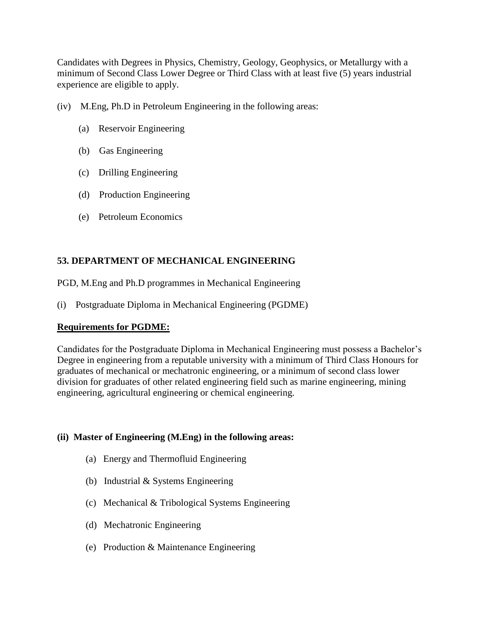Candidates with Degrees in Physics, Chemistry, Geology, Geophysics, or Metallurgy with a minimum of Second Class Lower Degree or Third Class with at least five (5) years industrial experience are eligible to apply.

- (iv) M.Eng, Ph.D in Petroleum Engineering in the following areas:
	- (a) Reservoir Engineering
	- (b) Gas Engineering
	- (c) Drilling Engineering
	- (d) Production Engineering
	- (e) Petroleum Economics

## **53. DEPARTMENT OF MECHANICAL ENGINEERING**

PGD, M.Eng and Ph.D programmes in Mechanical Engineering

(i) Postgraduate Diploma in Mechanical Engineering (PGDME)

## **Requirements for PGDME:**

Candidates for the Postgraduate Diploma in Mechanical Engineering must possess a Bachelor's Degree in engineering from a reputable university with a minimum of Third Class Honours for graduates of mechanical or mechatronic engineering, or a minimum of second class lower division for graduates of other related engineering field such as marine engineering, mining engineering, agricultural engineering or chemical engineering.

## **(ii) Master of Engineering (M.Eng) in the following areas:**

- (a) Energy and Thermofluid Engineering
- (b) Industrial & Systems Engineering
- (c) Mechanical & Tribological Systems Engineering
- (d) Mechatronic Engineering
- (e) Production & Maintenance Engineering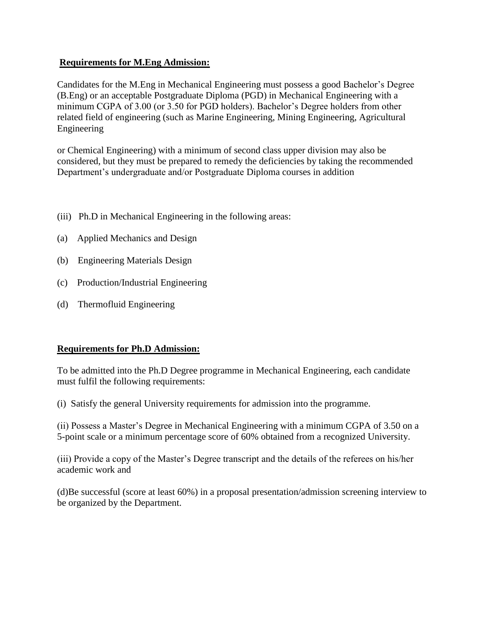#### **Requirements for M.Eng Admission:**

Candidates for the M.Eng in Mechanical Engineering must possess a good Bachelor's Degree (B.Eng) or an acceptable Postgraduate Diploma (PGD) in Mechanical Engineering with a minimum CGPA of 3.00 (or 3.50 for PGD holders). Bachelor's Degree holders from other related field of engineering (such as Marine Engineering, Mining Engineering, Agricultural Engineering

or Chemical Engineering) with a minimum of second class upper division may also be considered, but they must be prepared to remedy the deficiencies by taking the recommended Department's undergraduate and/or Postgraduate Diploma courses in addition

- (iii) Ph.D in Mechanical Engineering in the following areas:
- (a) Applied Mechanics and Design
- (b) Engineering Materials Design
- (c) Production/Industrial Engineering
- (d) Thermofluid Engineering

#### **Requirements for Ph.D Admission:**

To be admitted into the Ph.D Degree programme in Mechanical Engineering, each candidate must fulfil the following requirements:

(i) Satisfy the general University requirements for admission into the programme.

(ii) Possess a Master's Degree in Mechanical Engineering with a minimum CGPA of 3.50 on a 5-point scale or a minimum percentage score of 60% obtained from a recognized University.

(iii) Provide a copy of the Master's Degree transcript and the details of the referees on his/her academic work and

(d)Be successful (score at least 60%) in a proposal presentation/admission screening interview to be organized by the Department.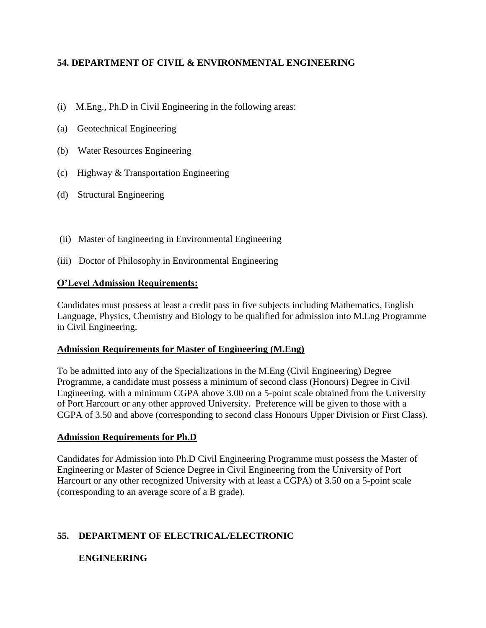# **54. DEPARTMENT OF CIVIL & ENVIRONMENTAL ENGINEERING**

- (i) M.Eng., Ph.D in Civil Engineering in the following areas:
- (a) Geotechnical Engineering
- (b) Water Resources Engineering
- (c) Highway & Transportation Engineering
- (d) Structural Engineering
- (ii) Master of Engineering in Environmental Engineering
- (iii) Doctor of Philosophy in Environmental Engineering

## **O'Level Admission Requirements:**

Candidates must possess at least a credit pass in five subjects including Mathematics, English Language, Physics, Chemistry and Biology to be qualified for admission into M.Eng Programme in Civil Engineering.

## **Admission Requirements for Master of Engineering (M.Eng)**

To be admitted into any of the Specializations in the M.Eng (Civil Engineering) Degree Programme, a candidate must possess a minimum of second class (Honours) Degree in Civil Engineering, with a minimum CGPA above 3.00 on a 5-point scale obtained from the University of Port Harcourt or any other approved University. Preference will be given to those with a CGPA of 3.50 and above (corresponding to second class Honours Upper Division or First Class).

## **Admission Requirements for Ph.D**

Candidates for Admission into Ph.D Civil Engineering Programme must possess the Master of Engineering or Master of Science Degree in Civil Engineering from the University of Port Harcourt or any other recognized University with at least a CGPA) of 3.50 on a 5-point scale (corresponding to an average score of a B grade).

# **55. DEPARTMENT OF ELECTRICAL/ELECTRONIC**

# **ENGINEERING**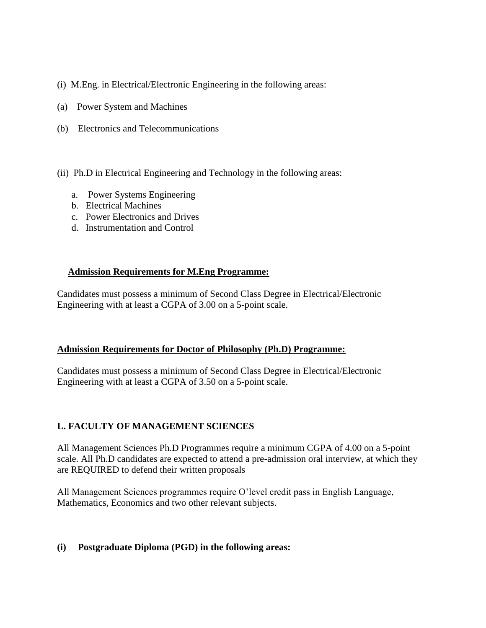- (i) M.Eng. in Electrical/Electronic Engineering in the following areas:
- (a) Power System and Machines
- (b) Electronics and Telecommunications
- (ii) Ph.D in Electrical Engineering and Technology in the following areas:
	- a. Power Systems Engineering
	- b. Electrical Machines
	- c. Power Electronics and Drives
	- d. Instrumentation and Control

#### **Admission Requirements for M.Eng Programme:**

Candidates must possess a minimum of Second Class Degree in Electrical/Electronic Engineering with at least a CGPA of 3.00 on a 5-point scale.

#### **Admission Requirements for Doctor of Philosophy (Ph.D) Programme:**

Candidates must possess a minimum of Second Class Degree in Electrical/Electronic Engineering with at least a CGPA of 3.50 on a 5-point scale.

## **L. FACULTY OF MANAGEMENT SCIENCES**

All Management Sciences Ph.D Programmes require a minimum CGPA of 4.00 on a 5-point scale. All Ph.D candidates are expected to attend a pre-admission oral interview, at which they are REQUIRED to defend their written proposals

All Management Sciences programmes require O'level credit pass in English Language, Mathematics, Economics and two other relevant subjects.

## **(i) Postgraduate Diploma (PGD) in the following areas:**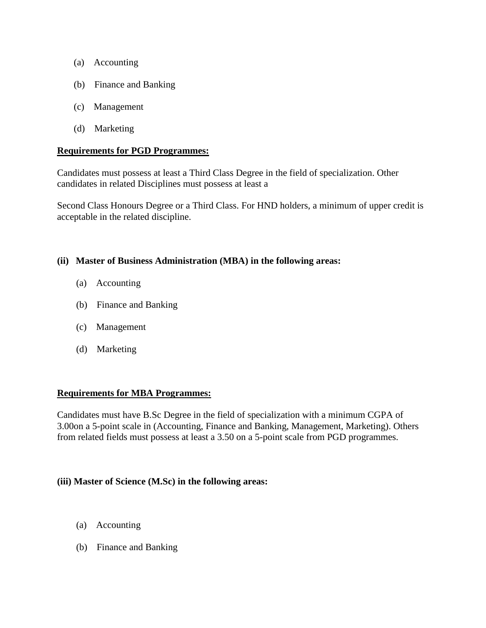- (a) Accounting
- (b) Finance and Banking
- (c) Management
- (d) Marketing

#### **Requirements for PGD Programmes:**

Candidates must possess at least a Third Class Degree in the field of specialization. Other candidates in related Disciplines must possess at least a

Second Class Honours Degree or a Third Class. For HND holders, a minimum of upper credit is acceptable in the related discipline.

#### **(ii) Master of Business Administration (MBA) in the following areas:**

- (a) Accounting
- (b) Finance and Banking
- (c) Management
- (d) Marketing

#### **Requirements for MBA Programmes:**

Candidates must have B.Sc Degree in the field of specialization with a minimum CGPA of 3.00on a 5-point scale in (Accounting, Finance and Banking, Management, Marketing). Others from related fields must possess at least a 3.50 on a 5-point scale from PGD programmes.

#### **(iii) Master of Science (M.Sc) in the following areas:**

- (a) Accounting
- (b) Finance and Banking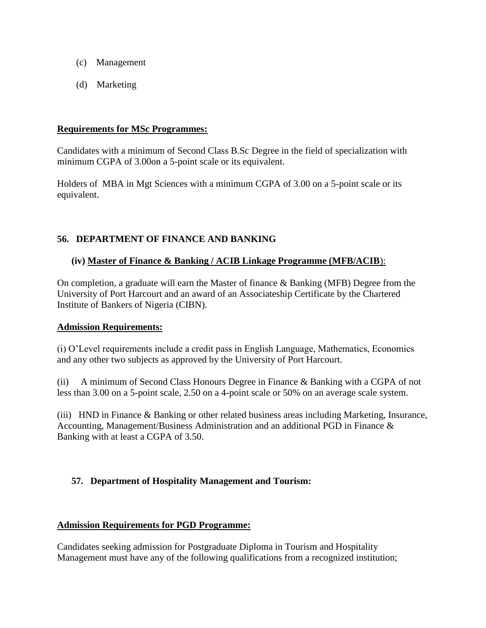- (c) Management
- (d) Marketing

#### **Requirements for MSc Programmes:**

Candidates with a minimum of Second Class B.Sc Degree in the field of specialization with minimum CGPA of 3.00on a 5-point scale or its equivalent.

Holders of MBA in Mgt Sciences with a minimum CGPA of 3.00 on a 5-point scale or its equivalent.

## **56. DEPARTMENT OF FINANCE AND BANKING**

## **(iv) Master of Finance & Banking / ACIB Linkage Programme (MFB/ACIB**):

On completion, a graduate will earn the Master of finance & Banking (MFB) Degree from the University of Port Harcourt and an award of an Associateship Certificate by the Chartered Institute of Bankers of Nigeria (CIBN).

## **Admission Requirements:**

(i) O'Level requirements include a credit pass in English Language, Mathematics, Economics and any other two subjects as approved by the University of Port Harcourt.

(ii) A minimum of Second Class Honours Degree in Finance & Banking with a CGPA of not less than 3.00 on a 5-point scale, 2.50 on a 4-point scale or 50% on an average scale system.

(iii) HND in Finance & Banking or other related business areas including Marketing, Insurance, Accounting, Management/Business Administration and an additional PGD in Finance & Banking with at least a CGPA of 3.50.

## **57. Department of Hospitality Management and Tourism:**

#### **Admission Requirements for PGD Programme:**

Candidates seeking admission for Postgraduate Diploma in Tourism and Hospitality Management must have any of the following qualifications from a recognized institution;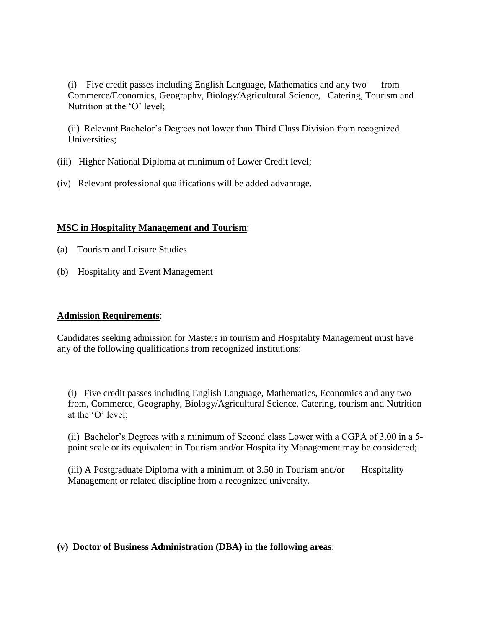(i) Five credit passes including English Language, Mathematics and any two from Commerce/Economics, Geography, Biology/Agricultural Science, Catering, Tourism and Nutrition at the 'O' level;

(ii) Relevant Bachelor's Degrees not lower than Third Class Division from recognized Universities;

- (iii) Higher National Diploma at minimum of Lower Credit level;
- (iv) Relevant professional qualifications will be added advantage.

#### **MSC in Hospitality Management and Tourism**:

- (a) Tourism and Leisure Studies
- (b) Hospitality and Event Management

#### **Admission Requirements**:

Candidates seeking admission for Masters in tourism and Hospitality Management must have any of the following qualifications from recognized institutions:

(i) Five credit passes including English Language, Mathematics, Economics and any two from, Commerce, Geography, Biology/Agricultural Science, Catering, tourism and Nutrition at the 'O' level;

(ii) Bachelor's Degrees with a minimum of Second class Lower with a CGPA of 3.00 in a 5 point scale or its equivalent in Tourism and/or Hospitality Management may be considered;

(iii) A Postgraduate Diploma with a minimum of  $3.50$  in Tourism and/or Hospitality Management or related discipline from a recognized university.

## **(v) Doctor of Business Administration (DBA) in the following areas**: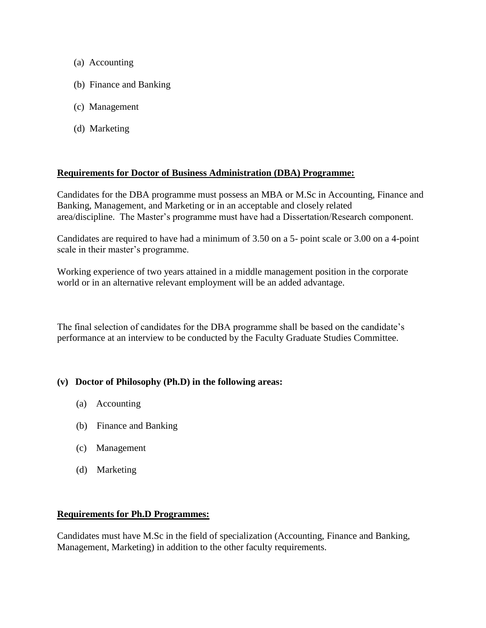- (a) Accounting
- (b) Finance and Banking
- (c) Management
- (d) Marketing

#### **Requirements for Doctor of Business Administration (DBA) Programme:**

Candidates for the DBA programme must possess an MBA or M.Sc in Accounting, Finance and Banking, Management, and Marketing or in an acceptable and closely related area/discipline. The Master's programme must have had a Dissertation/Research component.

Candidates are required to have had a minimum of 3.50 on a 5- point scale or 3.00 on a 4-point scale in their master's programme.

Working experience of two years attained in a middle management position in the corporate world or in an alternative relevant employment will be an added advantage.

The final selection of candidates for the DBA programme shall be based on the candidate's performance at an interview to be conducted by the Faculty Graduate Studies Committee.

#### **(v) Doctor of Philosophy (Ph.D) in the following areas:**

- (a) Accounting
- (b) Finance and Banking
- (c) Management
- (d) Marketing

#### **Requirements for Ph.D Programmes:**

Candidates must have M.Sc in the field of specialization (Accounting, Finance and Banking, Management, Marketing) in addition to the other faculty requirements.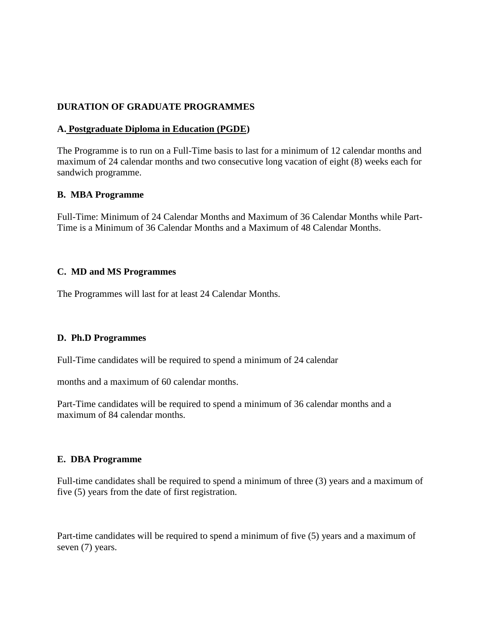#### **DURATION OF GRADUATE PROGRAMMES**

#### **A. Postgraduate Diploma in Education (PGDE)**

The Programme is to run on a Full-Time basis to last for a minimum of 12 calendar months and maximum of 24 calendar months and two consecutive long vacation of eight (8) weeks each for sandwich programme.

#### **B. MBA Programme**

Full-Time: Minimum of 24 Calendar Months and Maximum of 36 Calendar Months while Part-Time is a Minimum of 36 Calendar Months and a Maximum of 48 Calendar Months.

#### **C. MD and MS Programmes**

The Programmes will last for at least 24 Calendar Months.

#### **D. Ph.D Programmes**

Full-Time candidates will be required to spend a minimum of 24 calendar

months and a maximum of 60 calendar months.

Part-Time candidates will be required to spend a minimum of 36 calendar months and a maximum of 84 calendar months.

#### **E. DBA Programme**

Full-time candidates shall be required to spend a minimum of three (3) years and a maximum of five (5) years from the date of first registration.

Part-time candidates will be required to spend a minimum of five (5) years and a maximum of seven (7) years.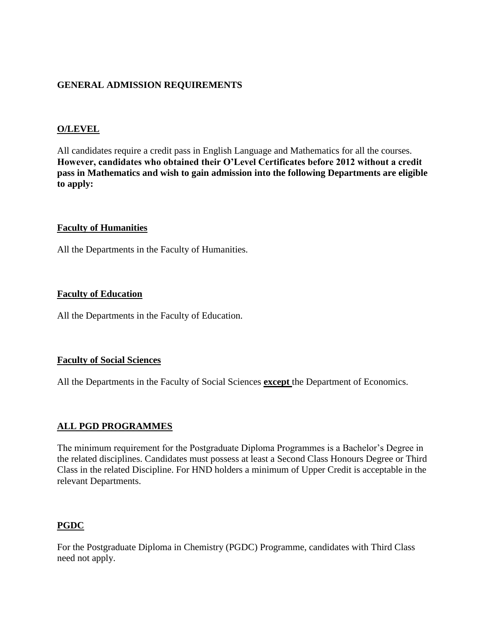## **GENERAL ADMISSION REQUIREMENTS**

## **O/LEVEL**

All candidates require a credit pass in English Language and Mathematics for all the courses. **However, candidates who obtained their O'Level Certificates before 2012 without a credit pass in Mathematics and wish to gain admission into the following Departments are eligible to apply:**

#### **Faculty of Humanities**

All the Departments in the Faculty of Humanities.

#### **Faculty of Education**

All the Departments in the Faculty of Education.

#### **Faculty of Social Sciences**

All the Departments in the Faculty of Social Sciences **except** the Department of Economics.

## **ALL PGD PROGRAMMES**

The minimum requirement for the Postgraduate Diploma Programmes is a Bachelor's Degree in the related disciplines. Candidates must possess at least a Second Class Honours Degree or Third Class in the related Discipline. For HND holders a minimum of Upper Credit is acceptable in the relevant Departments.

# **PGDC**

For the Postgraduate Diploma in Chemistry (PGDC) Programme, candidates with Third Class need not apply.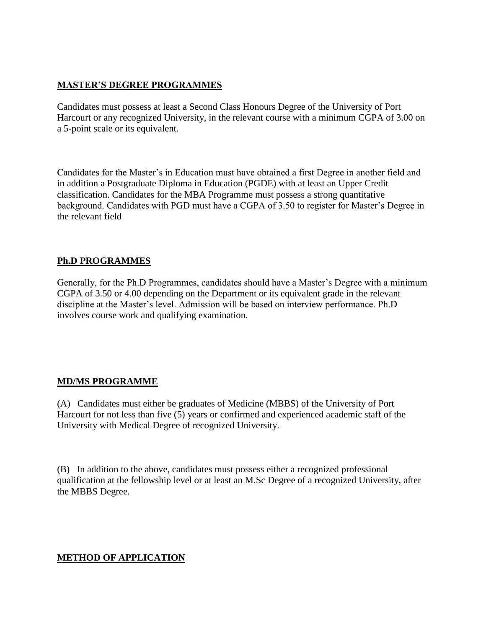## **MASTER'S DEGREE PROGRAMMES**

Candidates must possess at least a Second Class Honours Degree of the University of Port Harcourt or any recognized University, in the relevant course with a minimum CGPA of 3.00 on a 5-point scale or its equivalent.

Candidates for the Master's in Education must have obtained a first Degree in another field and in addition a Postgraduate Diploma in Education (PGDE) with at least an Upper Credit classification. Candidates for the MBA Programme must possess a strong quantitative background. Candidates with PGD must have a CGPA of 3.50 to register for Master's Degree in the relevant field

## **Ph.D PROGRAMMES**

Generally, for the Ph.D Programmes, candidates should have a Master's Degree with a minimum CGPA of 3.50 or 4.00 depending on the Department or its equivalent grade in the relevant discipline at the Master's level. Admission will be based on interview performance. Ph.D involves course work and qualifying examination.

# **MD/MS PROGRAMME**

(A) Candidates must either be graduates of Medicine (MBBS) of the University of Port Harcourt for not less than five (5) years or confirmed and experienced academic staff of the University with Medical Degree of recognized University.

(B) In addition to the above, candidates must possess either a recognized professional qualification at the fellowship level or at least an M.Sc Degree of a recognized University, after the MBBS Degree.

## **METHOD OF APPLICATION**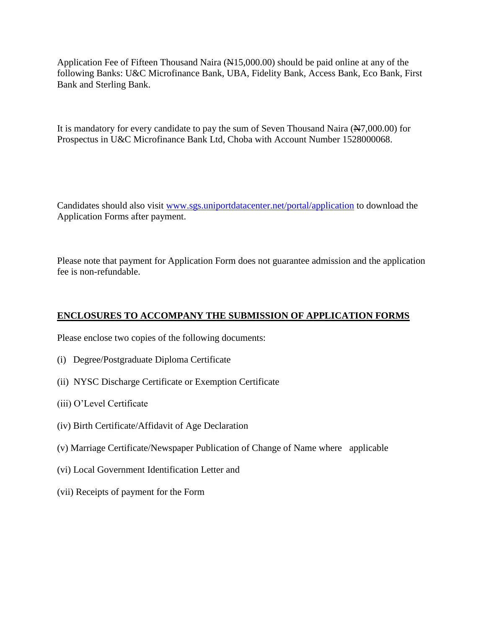Application Fee of Fifteen Thousand Naira (N15,000.00) should be paid online at any of the following Banks: U&C Microfinance Bank, UBA, Fidelity Bank, Access Bank, Eco Bank, First Bank and Sterling Bank.

It is mandatory for every candidate to pay the sum of Seven Thousand Naira (N7,000.00) for Prospectus in U&C Microfinance Bank Ltd, Choba with Account Number 1528000068.

Candidates should also visit [www.sgs.uniportdatacenter.net/portal/application](http://www.sgs.uniportdatacenter.net/portal/application) to download the Application Forms after payment.

Please note that payment for Application Form does not guarantee admission and the application fee is non-refundable.

## **ENCLOSURES TO ACCOMPANY THE SUBMISSION OF APPLICATION FORMS**

Please enclose two copies of the following documents:

- (i) Degree/Postgraduate Diploma Certificate
- (ii) NYSC Discharge Certificate or Exemption Certificate
- (iii) O'Level Certificate
- (iv) Birth Certificate/Affidavit of Age Declaration
- (v) Marriage Certificate/Newspaper Publication of Change of Name where applicable
- (vi) Local Government Identification Letter and
- (vii) Receipts of payment for the Form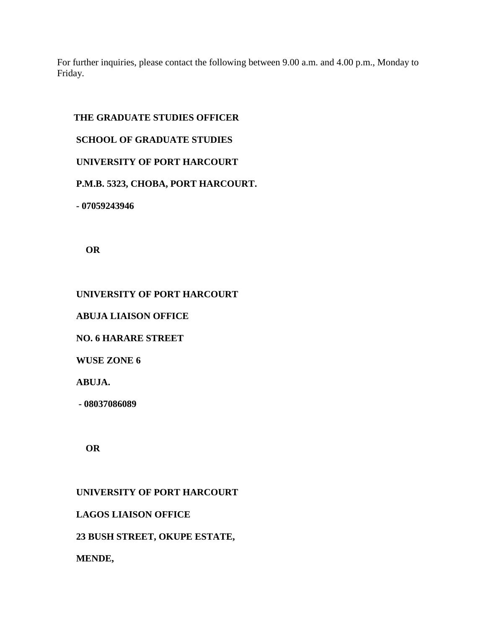For further inquiries, please contact the following between 9.00 a.m. and 4.00 p.m., Monday to Friday.

## **THE GRADUATE STUDIES OFFICER**

## **SCHOOL OF GRADUATE STUDIES**

## **UNIVERSITY OF PORT HARCOURT**

# **P.M.B. 5323, CHOBA, PORT HARCOURT.**

 **- 07059243946**

**OR**

# **UNIVERSITY OF PORT HARCOURT**

# **ABUJA LIAISON OFFICE**

 **NO. 6 HARARE STREET**

 **WUSE ZONE 6** 

 **ABUJA.** 

**- 08037086089**

**OR**

# **UNIVERSITY OF PORT HARCOURT**

# **LAGOS LIAISON OFFICE**

# **23 BUSH STREET, OKUPE ESTATE,**

# **MENDE,**